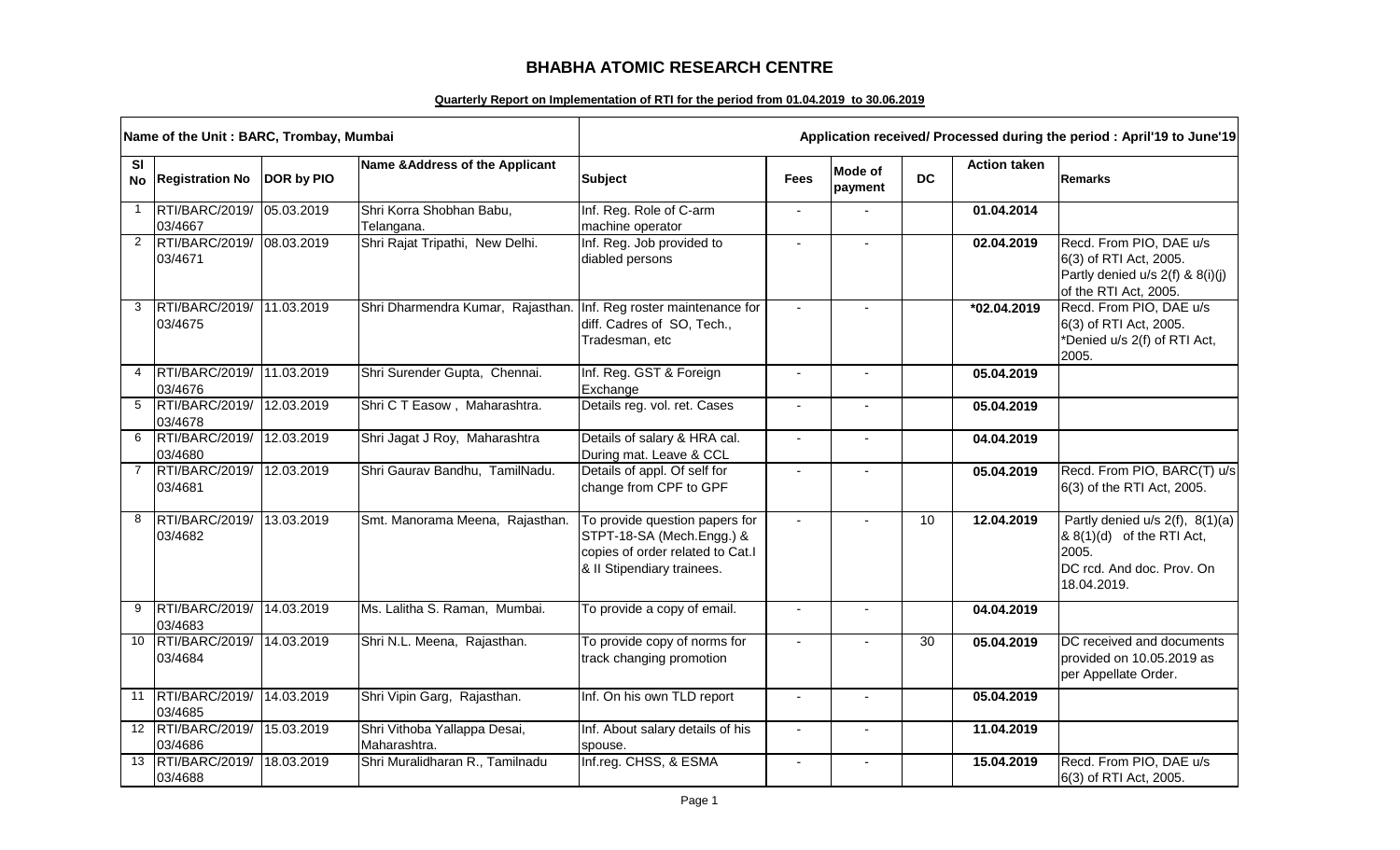## **BHABHA ATOMIC RESEARCH CENTRE**

## **Quarterly Report on Implementation of RTI for the period from 01.04.2019 to 30.06.2019**

|                 | Name of the Unit: BARC, Trombay, Mumbai |            | Application received/ Processed during the period: April'19 to June'19 |                                                                                                                               |                |                    |           |                     |                                                                                                                   |
|-----------------|-----------------------------------------|------------|------------------------------------------------------------------------|-------------------------------------------------------------------------------------------------------------------------------|----------------|--------------------|-----------|---------------------|-------------------------------------------------------------------------------------------------------------------|
| SI              | No Registration No                      | DOR by PIO | Name & Address of the Applicant                                        | <b>Subject</b>                                                                                                                | <b>Fees</b>    | Mode of<br>payment | <b>DC</b> | <b>Action taken</b> | <b>Remarks</b>                                                                                                    |
| $\mathbf{1}$    | RTI/BARC/2019/<br>03/4667               | 05.03.2019 | Shri Korra Shobhan Babu,<br>Telangana.                                 | Inf. Reg. Role of C-arm<br>machine operator                                                                                   | $\blacksquare$ |                    |           | 01.04.2014          |                                                                                                                   |
| $2^{\circ}$     | RTI/BARC/2019/ 08.03.2019<br>03/4671    |            | Shri Rajat Tripathi, New Delhi.                                        | Inf. Reg. Job provided to<br>diabled persons                                                                                  | $\blacksquare$ |                    |           | 02.04.2019          | Recd. From PIO, DAE u/s<br>6(3) of RTI Act, 2005.<br>Partly denied u/s 2(f) & 8(i)(j)<br>of the RTI Act, 2005.    |
| 3               | RTI/BARC/2019/ 11.03.2019<br>03/4675    |            | Shri Dharmendra Kumar, Rajasthan. Inf. Reg roster maintenance for      | diff. Cadres of SO, Tech.,<br>Tradesman, etc                                                                                  | $\sim$         |                    |           | *02.04.2019         | Recd. From PIO, DAE u/s<br>6(3) of RTI Act, 2005.<br>*Denied u/s 2(f) of RTI Act,<br>2005.                        |
| $\overline{4}$  | RTI/BARC/2019/ 11.03.2019<br>03/4676    |            | Shri Surender Gupta, Chennai.                                          | Inf. Reg. GST & Foreign<br>Exchange                                                                                           | $\blacksquare$ |                    |           | 05.04.2019          |                                                                                                                   |
| 5               | RTI/BARC/2019/<br>03/4678               | 12.03.2019 | Shri C T Easow, Maharashtra.                                           | Details reg. vol. ret. Cases                                                                                                  | $\blacksquare$ |                    |           | 05.04.2019          |                                                                                                                   |
| 6               | RTI/BARC/2019/<br>03/4680               | 12.03.2019 | Shri Jagat J Roy, Maharashtra                                          | Details of salary & HRA cal.<br>During mat. Leave & CCL                                                                       | $\blacksquare$ |                    |           | 04.04.2019          |                                                                                                                   |
|                 | RTI/BARC/2019/ 12.03.2019<br>03/4681    |            | Shri Gaurav Bandhu, TamilNadu.                                         | Details of appl. Of self for<br>change from CPF to GPF                                                                        | ä,             |                    |           | 05.04.2019          | Recd. From PIO, BARC(T) u/s<br>6(3) of the RTI Act, 2005.                                                         |
| 8               | RTI/BARC/2019/ 13.03.2019<br>03/4682    |            | Smt. Manorama Meena, Rajasthan.                                        | To provide question papers for<br>STPT-18-SA (Mech.Engg.) &<br>copies of order related to Cat.I<br>& II Stipendiary trainees. | $\sim$         |                    | 10        | 12.04.2019          | Partly denied u/s 2(f), 8(1)(a)<br>& 8(1)(d) of the RTI Act,<br>2005.<br>DC rcd. And doc. Prov. On<br>18.04.2019. |
| 9               | RTI/BARC/2019/ 14.03.2019<br>03/4683    |            | Ms. Lalitha S. Raman, Mumbai.                                          | To provide a copy of email.                                                                                                   |                |                    |           | 04.04.2019          |                                                                                                                   |
| 10 <sup>°</sup> | RTI/BARC/2019/<br>03/4684               | 14.03.2019 | Shri N.L. Meena, Rajasthan.                                            | To provide copy of norms for<br>track changing promotion                                                                      | $\blacksquare$ |                    | 30        | 05.04.2019          | DC received and documents<br>provided on 10.05.2019 as<br>per Appellate Order.                                    |
| 11              | RTI/BARC/2019/ 14.03.2019<br>03/4685    |            | Shri Vipin Garg, Rajasthan.                                            | Inf. On his own TLD report                                                                                                    | $\blacksquare$ |                    |           | 05.04.2019          |                                                                                                                   |
|                 | 12 RTI/BARC/2019/<br>03/4686            | 15.03.2019 | Shri Vithoba Yallappa Desai,<br>Maharashtra.                           | Inf. About salary details of his<br>spouse.                                                                                   | $\overline{a}$ |                    |           | 11.04.2019          |                                                                                                                   |
| 13              | RTI/BARC/2019/<br>03/4688               | 18.03.2019 | Shri Muralidharan R., Tamilnadu                                        | Inf.reg. CHSS, & ESMA                                                                                                         | $\blacksquare$ | $\blacksquare$     |           | 15.04.2019          | Recd. From PIO, DAE u/s<br>6(3) of RTI Act, 2005.                                                                 |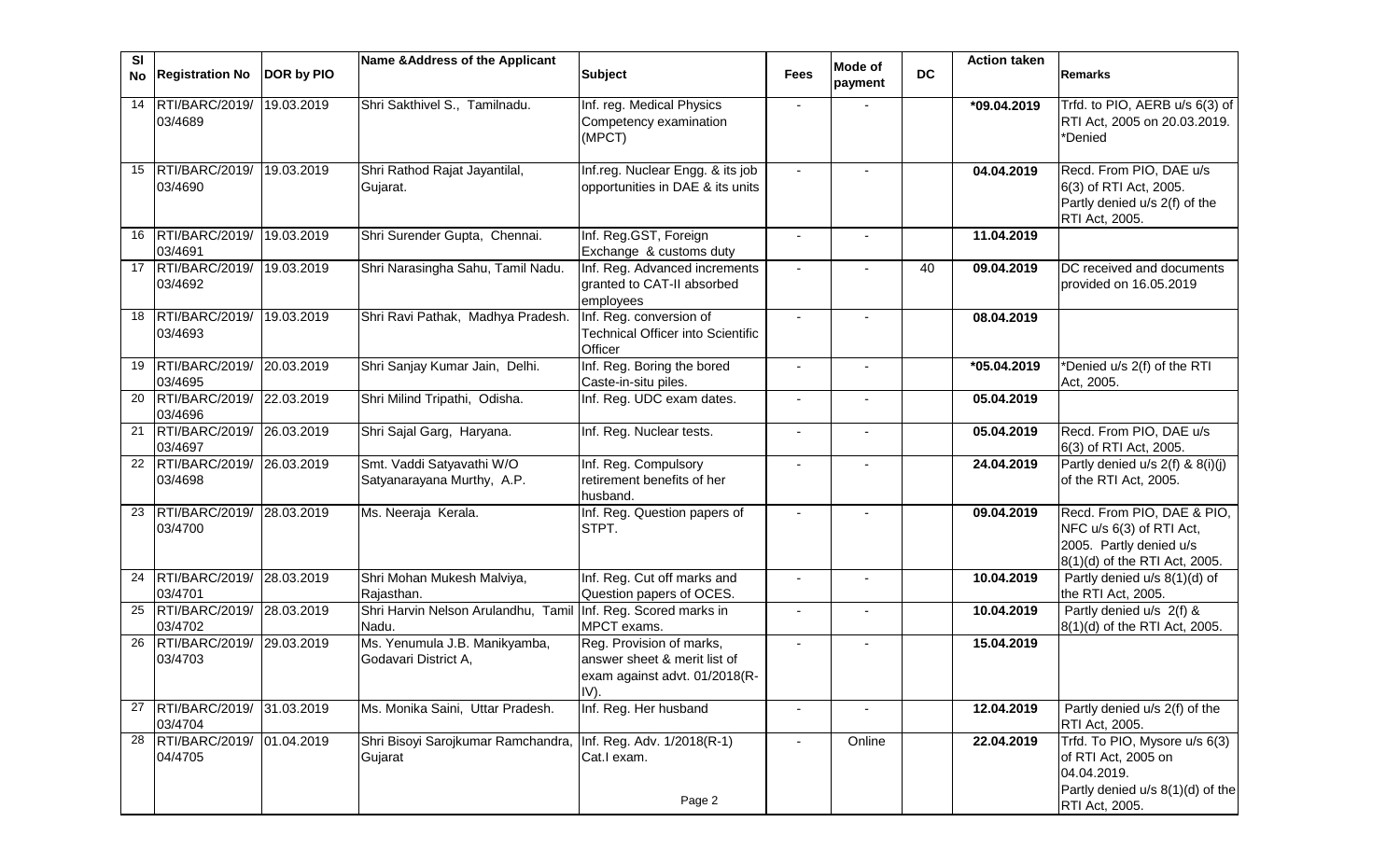| SI | No Registration No                      | DOR by PIO | Name & Address of the Applicant                         | <b>Subject</b>                                                                                    | <b>Fees</b>    | Mode of<br>payment | <b>DC</b> | <b>Action taken</b> | <b>Remarks</b>                                                                                                            |
|----|-----------------------------------------|------------|---------------------------------------------------------|---------------------------------------------------------------------------------------------------|----------------|--------------------|-----------|---------------------|---------------------------------------------------------------------------------------------------------------------------|
| 14 | RTI/BARC/2019/<br>03/4689               | 19.03.2019 | Shri Sakthivel S., Tamilnadu.                           | Inf. reg. Medical Physics<br>Competency examination<br>(MPCT)                                     |                |                    |           | *09.04.2019         | Trfd. to PIO, AERB u/s 6(3) of<br>RTI Act, 2005 on 20.03.2019.<br>*Denied                                                 |
| 15 | RTI/BARC/2019/<br>03/4690               | 19.03.2019 | Shri Rathod Rajat Jayantilal,<br>Gujarat.               | Inf.reg. Nuclear Engg. & its job<br>opportunities in DAE & its units                              | $\blacksquare$ |                    |           | 04.04.2019          | Recd. From PIO, DAE u/s<br>6(3) of RTI Act, 2005.<br>Partly denied u/s 2(f) of the<br>RTI Act, 2005.                      |
| 16 | RTI/BARC/2019/<br>03/4691               | 19.03.2019 | Shri Surender Gupta, Chennai.                           | Inf. Reg.GST, Foreign<br>Exchange & customs duty                                                  | $\blacksquare$ |                    |           | 11.04.2019          |                                                                                                                           |
|    | 17 RTI/BARC/2019/<br>03/4692            | 19.03.2019 | Shri Narasingha Sahu, Tamil Nadu.                       | Inf. Reg. Advanced increments<br>granted to CAT-II absorbed<br>employees                          |                |                    | 40        | 09.04.2019          | DC received and documents<br>provided on 16.05.2019                                                                       |
| 18 | RTI/BARC/2019/<br>03/4693               | 19.03.2019 | Shri Ravi Pathak, Madhya Pradesh.                       | Inf. Reg. conversion of<br><b>Technical Officer into Scientific</b><br>Officer                    |                |                    |           | 08.04.2019          |                                                                                                                           |
| 19 | RTI/BARC/2019/ 20.03.2019<br>03/4695    |            | Shri Sanjay Kumar Jain, Delhi.                          | Inf. Reg. Boring the bored<br>Caste-in-situ piles.                                                | $\blacksquare$ |                    |           | *05.04.2019         | *Denied u/s 2(f) of the RTI<br>Act, 2005.                                                                                 |
| 20 | RTI/BARC/2019/ 22.03.2019<br>03/4696    |            | Shri Milind Tripathi, Odisha.                           | Inf. Reg. UDC exam dates.                                                                         | $\blacksquare$ |                    |           | 05.04.2019          |                                                                                                                           |
|    | 21 RTI/BARC/2019/<br>03/4697            | 26.03.2019 | Shri Sajal Garg, Haryana.                               | Inf. Reg. Nuclear tests.                                                                          | $\blacksquare$ |                    |           | 05.04.2019          | Recd. From PIO, DAE u/s<br>6(3) of RTI Act, 2005.                                                                         |
| 22 | RTI/BARC/2019/ 26.03.2019<br>03/4698    |            | Smt. Vaddi Satyavathi W/O<br>Satyanarayana Murthy, A.P. | Inf. Reg. Compulsory<br>retirement benefits of her<br>husband.                                    | $\blacksquare$ |                    |           | 24.04.2019          | Partly denied u/s 2(f) & 8(i)(j)<br>of the RTI Act, 2005.                                                                 |
| 23 | RTI/BARC/2019/ 28.03.2019<br>03/4700    |            | Ms. Neeraja Kerala.                                     | Inf. Reg. Question papers of<br>STPT.                                                             |                |                    |           | 09.04.2019          | Recd. From PIO, DAE & PIO,<br>NFC u/s 6(3) of RTI Act,<br>2005. Partly denied u/s<br>8(1)(d) of the RTI Act, 2005.        |
| 24 | RTI/BARC/2019/ 28.03.2019<br>03/4701    |            | Shri Mohan Mukesh Malviya,<br>Rajasthan.                | Inf. Reg. Cut off marks and<br>Question papers of OCES.                                           | $\blacksquare$ |                    |           | 10.04.2019          | Partly denied u/s 8(1)(d) of<br>the RTI Act, 2005.                                                                        |
| 25 | RTI/BARC/2019/<br>03/4702               | 28.03.2019 | Shri Harvin Nelson Arulandhu, Tamil<br>Nadu.            | Inf. Reg. Scored marks in<br>MPCT exams.                                                          | $\blacksquare$ |                    |           | 10.04.2019          | Partly denied u/s 2(f) &<br>8(1)(d) of the RTI Act, 2005.                                                                 |
| 26 | RTI/BARC/2019/<br>03/4703               | 29.03.2019 | Ms. Yenumula J.B. Manikyamba,<br>Godavari District A,   | Reg. Provision of marks,<br>answer sheet & merit list of<br>exam against advt. 01/2018(R-<br>IV). | $\blacksquare$ |                    |           | 15.04.2019          |                                                                                                                           |
|    | 27 RTI/BARC/2019/ 31.03.2019<br>03/4704 |            | Ms. Monika Saini, Uttar Pradesh.                        | Inf. Reg. Her husband                                                                             |                |                    |           | 12.04.2019          | Partly denied u/s 2(f) of the<br>RTI Act, 2005.                                                                           |
|    | 28 RTI/BARC/2019/ 01.04.2019<br>04/4705 |            | Shri Bisoyi Sarojkumar Ramchandra,<br>Gujarat           | Inf. Reg. Adv. 1/2018(R-1)<br>Cat.I exam.<br>Page 2                                               |                | Online             |           | 22.04.2019          | Trfd. To PIO, Mysore u/s 6(3)<br>of RTI Act, 2005 on<br>04.04.2019.<br>Partly denied u/s 8(1)(d) of the<br>RTI Act, 2005. |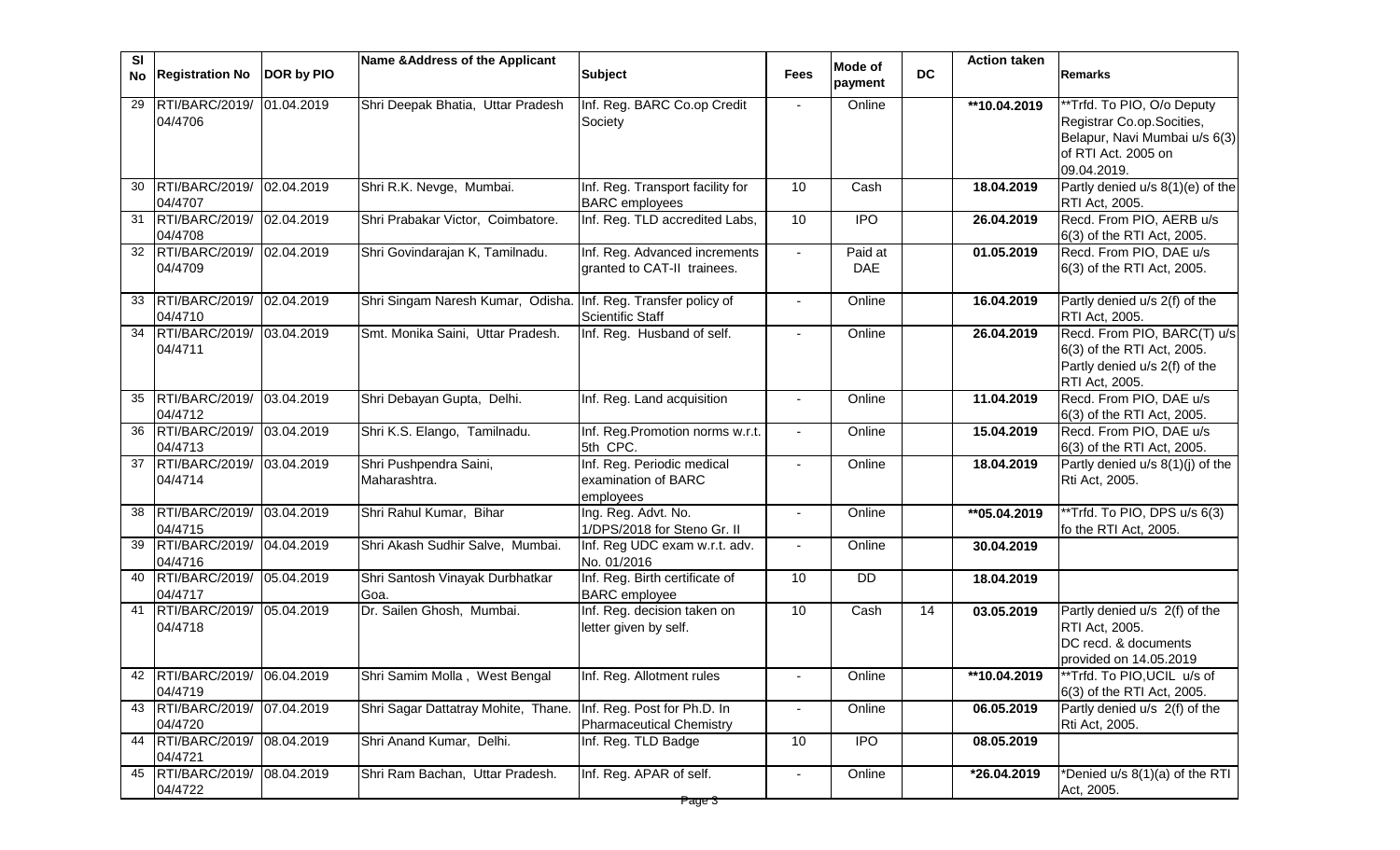| SI |                                         |            | Name & Address of the Applicant         |                                                                |                |                       |           | <b>Action taken</b> |                                                                                                                                |
|----|-----------------------------------------|------------|-----------------------------------------|----------------------------------------------------------------|----------------|-----------------------|-----------|---------------------|--------------------------------------------------------------------------------------------------------------------------------|
| No | <b>Registration No</b>                  | DOR by PIO |                                         | <b>Subject</b>                                                 | <b>Fees</b>    | Mode of<br>payment    | <b>DC</b> |                     | <b>Remarks</b>                                                                                                                 |
| 29 | RTI/BARC/2019/<br>04/4706               | 01.04.2019 | Shri Deepak Bhatia, Uttar Pradesh       | Inf. Reg. BARC Co.op Credit<br>Society                         | $\sim$         | Online                |           | **10.04.2019        | **Trfd. To PIO, O/o Deputy<br>Registrar Co.op.Socities,<br>Belapur, Navi Mumbai u/s 6(3)<br>of RTI Act. 2005 on<br>09.04.2019. |
| 30 | RTI/BARC/2019/<br>04/4707               | 02.04.2019 | Shri R.K. Nevge, Mumbai.                | Inf. Reg. Transport facility for<br><b>BARC</b> employees      | 10             | Cash                  |           | 18.04.2019          | Partly denied u/s 8(1)(e) of the<br>RTI Act, 2005.                                                                             |
|    | 31 RTI/BARC/2019/<br>04/4708            | 02.04.2019 | Shri Prabakar Victor, Coimbatore.       | Inf. Reg. TLD accredited Labs,                                 | 10             | <b>IPO</b>            |           | 26.04.2019          | Recd. From PIO, AERB u/s<br>6(3) of the RTI Act, 2005.                                                                         |
|    | 32 RTI/BARC/2019/<br>04/4709            | 02.04.2019 | Shri Govindarajan K, Tamilnadu.         | Inf. Reg. Advanced increments<br>granted to CAT-II trainees.   |                | Paid at<br><b>DAE</b> |           | 01.05.2019          | Recd. From PIO, DAE u/s<br>6(3) of the RTI Act, 2005.                                                                          |
| 33 | RTI/BARC/2019/<br>04/4710               | 02.04.2019 | Shri Singam Naresh Kumar, Odisha.       | Inf. Reg. Transfer policy of<br><b>Scientific Staff</b>        |                | Online                |           | 16.04.2019          | Partly denied u/s 2(f) of the<br>RTI Act, 2005.                                                                                |
|    | 34 RTI/BARC/2019/<br>04/4711            | 03.04.2019 | Smt. Monika Saini, Uttar Pradesh.       | Inf. Reg. Husband of self.                                     |                | Online                |           | 26.04.2019          | Recd. From PIO, BARC(T) u/s<br>6(3) of the RTI Act, 2005.<br>Partly denied u/s 2(f) of the<br>RTI Act, 2005.                   |
| 35 | RTI/BARC/2019/<br>04/4712               | 03.04.2019 | Shri Debayan Gupta, Delhi.              | Inf. Reg. Land acquisition                                     |                | Online                |           | 11.04.2019          | Recd. From PIO, DAE u/s<br>6(3) of the RTI Act, 2005.                                                                          |
| 36 | RTI/BARC/2019/<br>04/4713               | 03.04.2019 | Shri K.S. Elango, Tamilnadu.            | Inf. Reg. Promotion norms w.r.t.<br>5th CPC.                   | $\sim$         | Online                |           | 15.04.2019          | Recd. From PIO, DAE u/s<br>6(3) of the RTI Act, 2005.                                                                          |
|    | 37 RTI/BARC/2019/<br>04/4714            | 03.04.2019 | Shri Pushpendra Saini,<br>Maharashtra.  | Inf. Reg. Periodic medical<br>examination of BARC<br>employees | ÷.             | Online                |           | 18.04.2019          | Partly denied u/s 8(1)(j) of the<br>Rti Act, 2005.                                                                             |
| 38 | RTI/BARC/2019/<br>04/4715               | 03.04.2019 | Shri Rahul Kumar, Bihar                 | Ing. Reg. Advt. No.<br>1/DPS/2018 for Steno Gr. II             | $\blacksquare$ | Online                |           | $*$ $65.04.2019$    | **Trfd. To PIO, DPS u/s 6(3)<br>fo the RTI Act, 2005.                                                                          |
| 39 | RTI/BARC/2019/<br>04/4716               | 04.04.2019 | Shri Akash Sudhir Salve, Mumbai.        | Inf. Reg UDC exam w.r.t. adv.<br>No. 01/2016                   | $\blacksquare$ | Online                |           | 30.04.2019          |                                                                                                                                |
|    | 40 RTI/BARC/2019/<br>04/4717            | 05.04.2019 | Shri Santosh Vinayak Durbhatkar<br>Goa. | Inf. Reg. Birth certificate of<br><b>BARC</b> employee         | 10             | <b>DD</b>             |           | 18.04.2019          |                                                                                                                                |
|    | 41 RTI/BARC/2019/<br>04/4718            | 05.04.2019 | Dr. Sailen Ghosh, Mumbai.               | Inf. Reg. decision taken on<br>letter given by self.           | 10             | Cash                  | 14        | 03.05.2019          | Partly denied u/s 2(f) of the<br>RTI Act, 2005.<br>DC recd. & documents<br>provided on 14.05.2019                              |
|    | 42 RTI/BARC/2019/ 06.04.2019<br>04/4719 |            | Shri Samim Molla, West Bengal           | Inf. Reg. Allotment rules                                      | $\blacksquare$ | Online                |           | **10.04.2019        | **Trfd. To PIO, UCIL u/s of<br>6(3) of the RTI Act, 2005.                                                                      |
|    | 43 RTI/BARC/2019/<br>04/4720            | 07.04.2019 | Shri Sagar Dattatray Mohite, Thane.     | Inf. Reg. Post for Ph.D. In<br>Pharmaceutical Chemistry        | $\blacksquare$ | Online                |           | 06.05.2019          | Partly denied u/s 2(f) of the<br>Rti Act, 2005.                                                                                |
|    | 44 RTI/BARC/2019/<br>04/4721            | 08.04.2019 | Shri Anand Kumar, Delhi.                | Inf. Reg. TLD Badge                                            | 10             | <b>IPO</b>            |           | 08.05.2019          |                                                                                                                                |
|    | 45 RTI/BARC/2019/<br>04/4722            | 08.04.2019 | Shri Ram Bachan, Uttar Pradesh.         | Inf. Reg. APAR of self.                                        |                | Online                |           | *26.04.2019         | *Denied u/s 8(1)(a) of the RTI<br>Act, 2005.                                                                                   |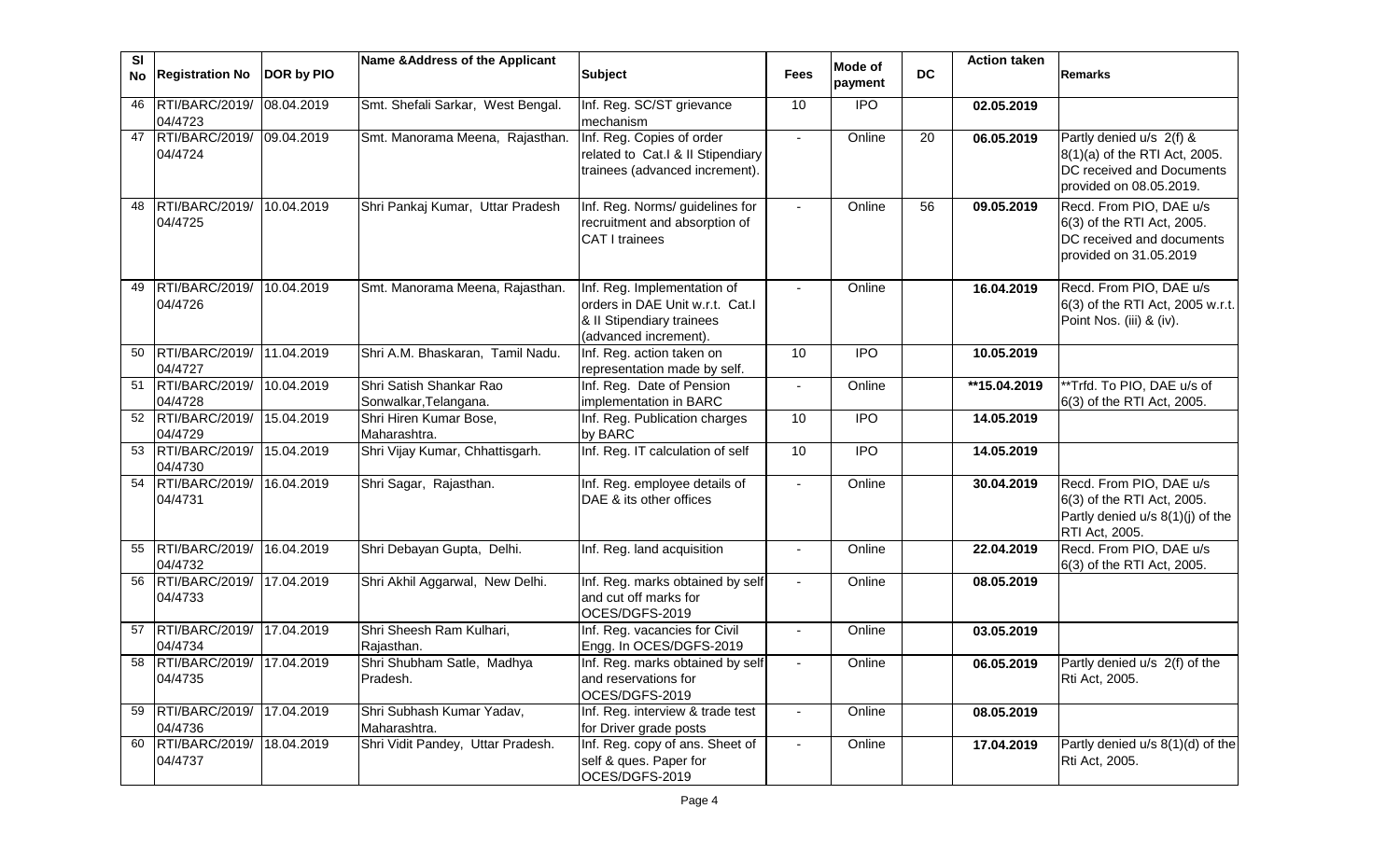| <b>SI</b><br>No | <b>Registration No</b>       | DOR by PIO | Name & Address of the Applicant                  | <b>Subject</b>                                                                                                       | <b>Fees</b>    | Mode of    | <b>DC</b> | <b>Action taken</b> | <b>Remarks</b>                                                                                                    |
|-----------------|------------------------------|------------|--------------------------------------------------|----------------------------------------------------------------------------------------------------------------------|----------------|------------|-----------|---------------------|-------------------------------------------------------------------------------------------------------------------|
|                 |                              |            |                                                  |                                                                                                                      |                | payment    |           |                     |                                                                                                                   |
| 46              | RTI/BARC/2019/<br>04/4723    | 08.04.2019 | Smt. Shefali Sarkar, West Bengal.                | Inf. Reg. SC/ST grievance<br>mechanism                                                                               | 10             | <b>IPO</b> |           | 02.05.2019          |                                                                                                                   |
|                 | 47 RTI/BARC/2019/<br>04/4724 | 09.04.2019 | Smt. Manorama Meena, Rajasthan.                  | Inf. Reg. Copies of order<br>related to Cat.I & II Stipendiary<br>trainees (advanced increment).                     | $\sim$         | Online     | 20        | 06.05.2019          | Partly denied u/s 2(f) &<br>8(1)(a) of the RTI Act, 2005.<br>DC received and Documents<br>provided on 08.05.2019. |
| 48              | RTI/BARC/2019/<br>04/4725    | 10.04.2019 | Shri Pankaj Kumar, Uttar Pradesh                 | Inf. Reg. Norms/ guidelines for<br>recruitment and absorption of<br><b>CAT I trainees</b>                            | $\sim$         | Online     | 56        | 09.05.2019          | Recd. From PIO, DAE u/s<br>6(3) of the RTI Act, 2005.<br>DC received and documents<br>provided on 31.05.2019      |
| 49              | RTI/BARC/2019/<br>04/4726    | 10.04.2019 | Smt. Manorama Meena, Rajasthan.                  | Inf. Reg. Implementation of<br>orders in DAE Unit w.r.t. Cat.I<br>& II Stipendiary trainees<br>(advanced increment). | $\sim$         | Online     |           | 16.04.2019          | Recd. From PIO, DAE u/s<br>6(3) of the RTI Act, 2005 w.r.t.<br>Point Nos. (iii) & (iv).                           |
| 50              | RTI/BARC/2019/<br>04/4727    | 11.04.2019 | Shri A.M. Bhaskaran, Tamil Nadu.                 | Inf. Reg. action taken on<br>representation made by self.                                                            | 10             | <b>IPO</b> |           | 10.05.2019          |                                                                                                                   |
|                 | 51 RTI/BARC/2019/<br>04/4728 | 10.04.2019 | Shri Satish Shankar Rao<br>Sonwalkar, Telangana. | Inf. Reg. Date of Pension<br>implementation in BARC                                                                  | $\sim$         | Online     |           | **15.04.2019        | **Trfd. To PIO, DAE u/s of<br>6(3) of the RTI Act, 2005.                                                          |
|                 | 52 RTI/BARC/2019/<br>04/4729 | 15.04.2019 | Shri Hiren Kumar Bose,<br>Maharashtra.           | Inf. Reg. Publication charges<br>by BARC                                                                             | 10             | <b>IPO</b> |           | 14.05.2019          |                                                                                                                   |
|                 | 53 RTI/BARC/2019/<br>04/4730 | 15.04.2019 | Shri Vijay Kumar, Chhattisgarh.                  | Inf. Reg. IT calculation of self                                                                                     | 10             | <b>IPO</b> |           | 14.05.2019          |                                                                                                                   |
|                 | 54 RTI/BARC/2019/<br>04/4731 | 16.04.2019 | Shri Sagar, Rajasthan.                           | Inf. Reg. employee details of<br>DAE & its other offices                                                             | $\sim$         | Online     |           | 30.04.2019          | Recd. From PIO, DAE u/s<br>6(3) of the RTI Act, 2005.<br>Partly denied u/s 8(1)(j) of the<br>RTI Act, 2005.       |
| 55              | RTI/BARC/2019/<br>04/4732    | 16.04.2019 | Shri Debayan Gupta, Delhi.                       | Inf. Reg. land acquisition                                                                                           |                | Online     |           | 22.04.2019          | Recd. From PIO, DAE u/s<br>6(3) of the RTI Act, 2005.                                                             |
| 56              | RTI/BARC/2019/<br>04/4733    | 17.04.2019 | Shri Akhil Aggarwal, New Delhi.                  | Inf. Reg. marks obtained by self<br>and cut off marks for<br>OCES/DGFS-2019                                          | $\sim$         | Online     |           | 08.05.2019          |                                                                                                                   |
|                 | 57 RTI/BARC/2019/<br>04/4734 | 17.04.2019 | Shri Sheesh Ram Kulhari,<br>Rajasthan.           | Inf. Reg. vacancies for Civil<br>Engg. In OCES/DGFS-2019                                                             | $\blacksquare$ | Online     |           | 03.05.2019          |                                                                                                                   |
|                 | 58 RTI/BARC/2019/<br>04/4735 | 17.04.2019 | Shri Shubham Satle, Madhya<br>Pradesh.           | Inf. Reg. marks obtained by self<br>and reservations for<br>OCES/DGFS-2019                                           | $\blacksquare$ | Online     |           | 06.05.2019          | Partly denied u/s 2(f) of the<br>Rti Act, 2005.                                                                   |
| 59              | RTI/BARC/2019/<br>04/4736    | 17.04.2019 | Shri Subhash Kumar Yadav,<br>Maharashtra.        | Inf. Reg. interview & trade test<br>for Driver grade posts                                                           |                | Online     |           | 08.05.2019          |                                                                                                                   |
| 60              | RTI/BARC/2019/<br>04/4737    | 18.04.2019 | Shri Vidit Pandey, Uttar Pradesh.                | Inf. Reg. copy of ans. Sheet of<br>self & ques. Paper for<br>OCES/DGFS-2019                                          |                | Online     |           | 17.04.2019          | Partly denied u/s 8(1)(d) of the<br>Rti Act, 2005.                                                                |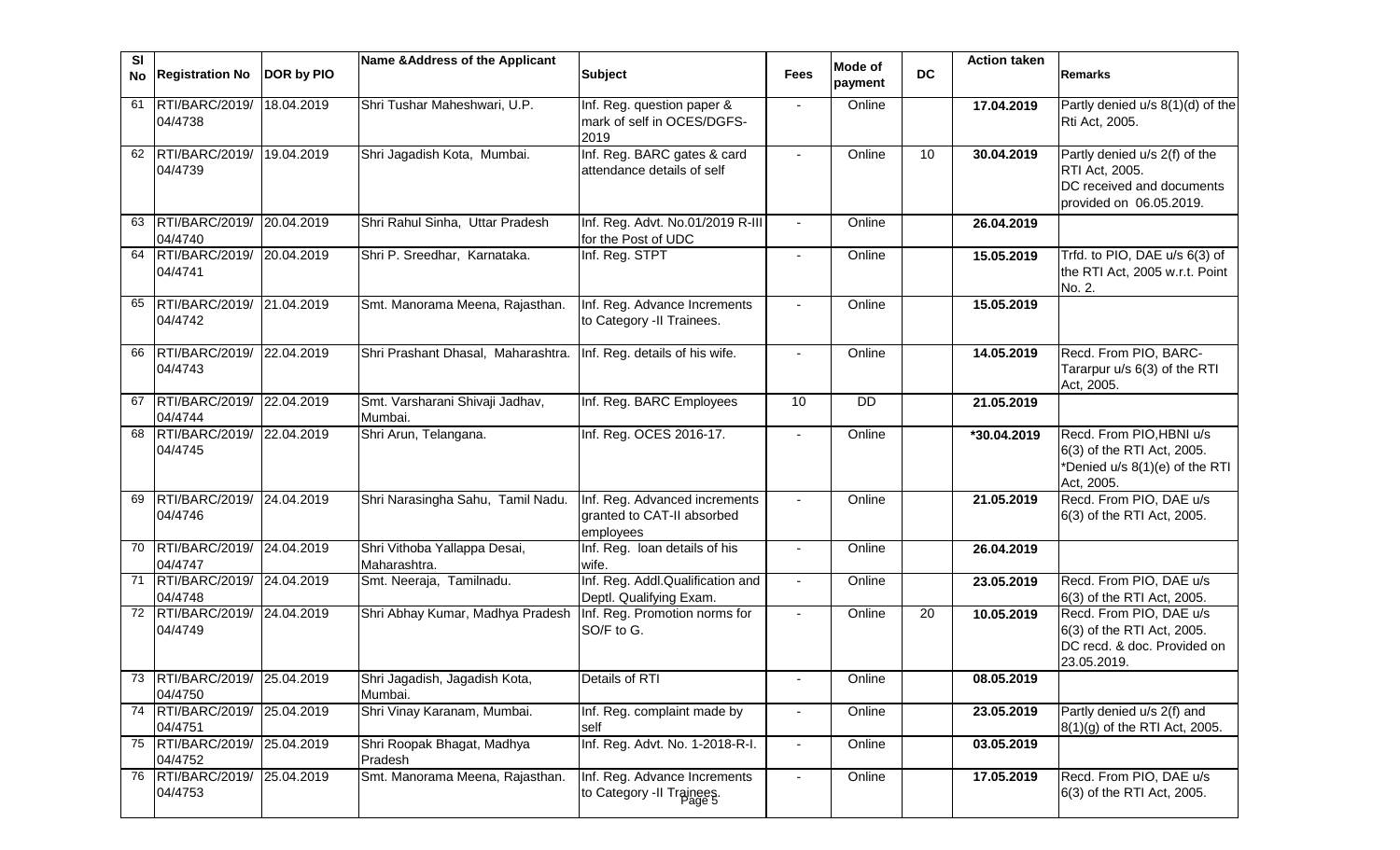| SI<br>No | <b>Registration No</b>                  | DOR by PIO | Name & Address of the Applicant              | <b>Subject</b>                                                           | <b>Fees</b>              | Mode of<br>payment | <b>DC</b> | <b>Action taken</b> | <b>Remarks</b>                                                                                          |
|----------|-----------------------------------------|------------|----------------------------------------------|--------------------------------------------------------------------------|--------------------------|--------------------|-----------|---------------------|---------------------------------------------------------------------------------------------------------|
|          | 61 RTI/BARC/2019/<br>04/4738            | 18.04.2019 | Shri Tushar Maheshwari, U.P.                 | Inf. Reg. question paper &<br>mark of self in OCES/DGFS-<br>2019         |                          | Online             |           | 17.04.2019          | Partly denied u/s 8(1)(d) of the<br>Rti Act, 2005.                                                      |
|          | 62 RTI/BARC/2019/<br>04/4739            | 19.04.2019 | Shri Jagadish Kota, Mumbai.                  | Inf. Reg. BARC gates & card<br>attendance details of self                |                          | Online             | 10        | 30.04.2019          | Partly denied u/s 2(f) of the<br>RTI Act, 2005.<br>DC received and documents<br>provided on 06.05.2019. |
| 63       | RTI/BARC/2019/<br>04/4740               | 20.04.2019 | Shri Rahul Sinha, Uttar Pradesh              | Inf. Reg. Advt. No.01/2019 R-III<br>for the Post of UDC                  | $\sim$                   | Online             |           | 26.04.2019          |                                                                                                         |
|          | 64 RTI/BARC/2019/<br>04/4741            | 20.04.2019 | Shri P. Sreedhar, Karnataka.                 | Inf. Reg. STPT                                                           | $\blacksquare$           | Online             |           | 15.05.2019          | Trfd. to PIO, DAE u/s 6(3) of<br>the RTI Act, 2005 w.r.t. Point<br>No. 2.                               |
| 65       | RTI/BARC/2019/<br>04/4742               | 21.04.2019 | Smt. Manorama Meena, Rajasthan.              | Inf. Reg. Advance Increments<br>to Category -II Trainees.                |                          | Online             |           | 15.05.2019          |                                                                                                         |
| 66       | RTI/BARC/2019/<br>04/4743               | 22.04.2019 | Shri Prashant Dhasal, Maharashtra.           | Inf. Reg. details of his wife.                                           |                          | Online             |           | 14.05.2019          | Recd. From PIO, BARC-<br>Tararpur u/s 6(3) of the RTI<br>Act, 2005.                                     |
|          | 67 RTI/BARC/2019/<br>04/4744            | 22.04.2019 | Smt. Varsharani Shivaji Jadhav,<br>Mumbai.   | Inf. Reg. BARC Employees                                                 | 10                       | <b>DD</b>          |           | 21.05.2019          |                                                                                                         |
|          | 68 RTI/BARC/2019/<br>04/4745            | 22.04.2019 | Shri Arun, Telangana.                        | Inf. Reg. OCES 2016-17.                                                  |                          | Online             |           | *30.04.2019         | Recd. From PIO, HBNI u/s<br>6(3) of the RTI Act, 2005.<br>*Denied u/s 8(1)(e) of the RTI<br>Act, 2005.  |
| 69       | RTI/BARC/2019/<br>04/4746               | 24.04.2019 | Shri Narasingha Sahu, Tamil Nadu.            | Inf. Reg. Advanced increments<br>granted to CAT-II absorbed<br>employees |                          | Online             |           | 21.05.2019          | Recd. From PIO, DAE u/s<br>6(3) of the RTI Act, 2005.                                                   |
| 70       | RTI/BARC/2019/<br>04/4747               | 24.04.2019 | Shri Vithoba Yallappa Desai,<br>Maharashtra. | Inf. Reg. Ioan details of his<br>wife.                                   | $\blacksquare$           | Online             |           | 26.04.2019          |                                                                                                         |
|          | 71 RTI/BARC/2019/<br>04/4748            | 24.04.2019 | Smt. Neeraja, Tamilnadu.                     | Inf. Reg. Addl.Qualification and<br>Deptl. Qualifying Exam.              | $\blacksquare$           | Online             |           | 23.05.2019          | Recd. From PIO, DAE u/s<br>6(3) of the RTI Act, 2005.                                                   |
|          | 72 RTI/BARC/2019/ 24.04.2019<br>04/4749 |            | Shri Abhay Kumar, Madhya Pradesh             | Inf. Reg. Promotion norms for<br>SO/F to G.                              | $\blacksquare$           | Online             | 20        | 10.05.2019          | Recd. From PIO, DAE u/s<br>6(3) of the RTI Act, 2005.<br>DC recd. & doc. Provided on<br>23.05.2019.     |
|          | RTI/BARC/2019/<br>04/4750               | 25.04.2019 | Shri Jagadish, Jagadish Kota,<br>Mumbai.     | Details of RTI                                                           | $\overline{\phantom{a}}$ | Online             |           | 08.05.2019          |                                                                                                         |
|          | 74 RTI/BARC/2019/<br>04/4751            | 25.04.2019 | Shri Vinay Karanam, Mumbai.                  | Inf. Reg. complaint made by<br>self                                      |                          | Online             |           | 23.05.2019          | Partly denied u/s 2(f) and<br>8(1)(g) of the RTI Act, 2005.                                             |
|          | 75 RTI/BARC/2019/<br>04/4752            | 25.04.2019 | Shri Roopak Bhagat, Madhya<br>Pradesh        | Inf. Reg. Advt. No. 1-2018-R-I.                                          | $\blacksquare$           | Online             |           | 03.05.2019          |                                                                                                         |
|          | 76 RTI/BARC/2019/<br>04/4753            | 25.04.2019 | Smt. Manorama Meena, Rajasthan.              | Inf. Reg. Advance Increments<br>to Category -II Trainees.                |                          | Online             |           | 17.05.2019          | Recd. From PIO, DAE u/s<br>6(3) of the RTI Act, 2005.                                                   |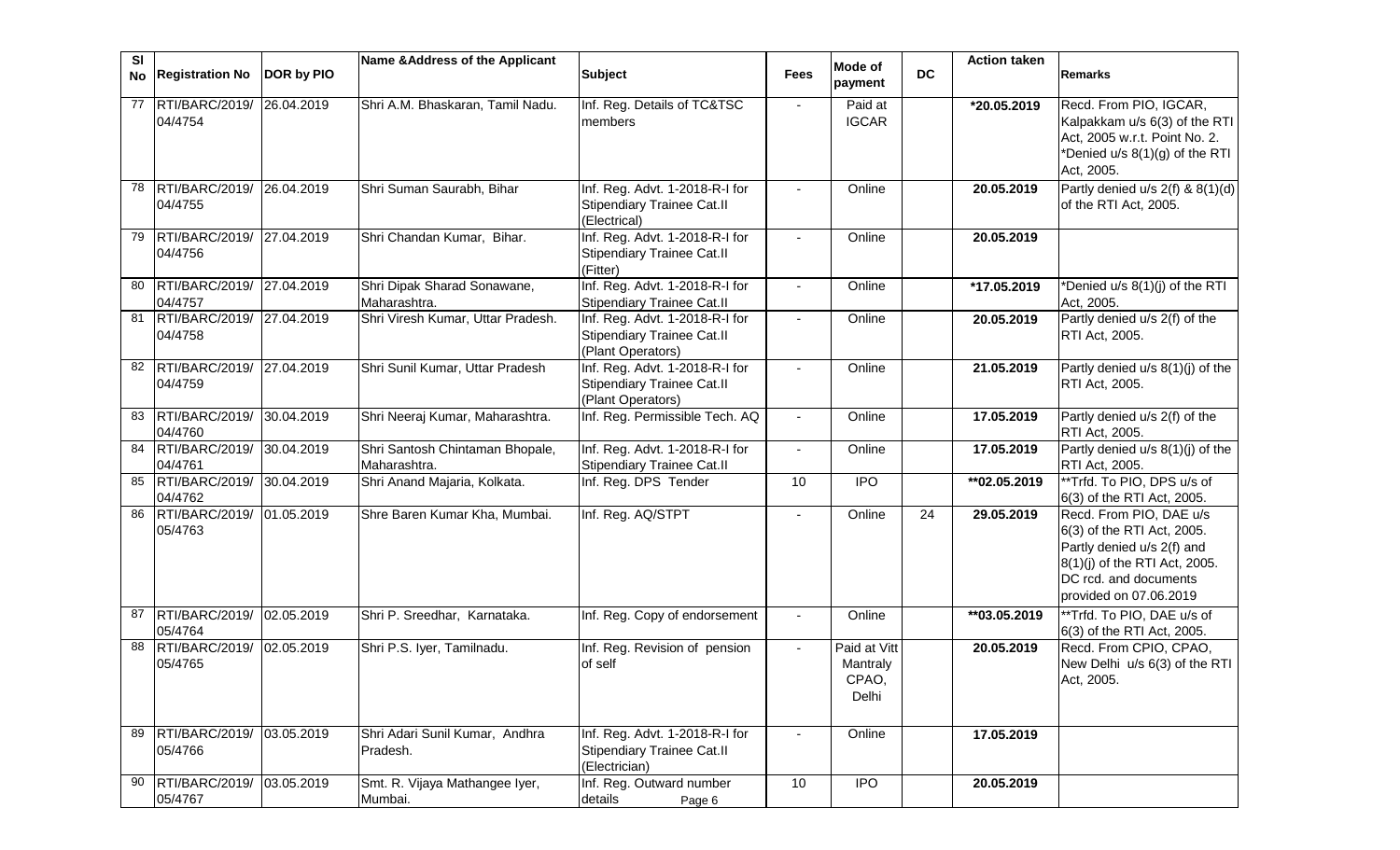| SI | No Registration No                   | DOR by PIO | Name & Address of the Applicant                 | <b>Subject</b>                                                                           | <b>Fees</b>    | Mode of<br>payment                         | <b>DC</b> | <b>Action taken</b> | <b>Remarks</b>                                                                                                                                                          |
|----|--------------------------------------|------------|-------------------------------------------------|------------------------------------------------------------------------------------------|----------------|--------------------------------------------|-----------|---------------------|-------------------------------------------------------------------------------------------------------------------------------------------------------------------------|
| 77 | RTI/BARC/2019/<br>04/4754            | 26.04.2019 | Shri A.M. Bhaskaran, Tamil Nadu.                | Inf. Reg. Details of TC&TSC<br>members                                                   | $\blacksquare$ | Paid at<br><b>IGCAR</b>                    |           | *20.05.2019         | Recd. From PIO, IGCAR,<br>Kalpakkam u/s 6(3) of the RTI<br>Act, 2005 w.r.t. Point No. 2.<br>*Denied u/s 8(1)(g) of the RTI<br>Act, 2005.                                |
| 78 | RTI/BARC/2019/<br>04/4755            | 26.04.2019 | Shri Suman Saurabh, Bihar                       | Inf. Reg. Advt. 1-2018-R-I for<br><b>Stipendiary Trainee Cat.II</b><br>(Electrical)      | $\blacksquare$ | Online                                     |           | 20.05.2019          | Partly denied u/s 2(f) & 8(1)(d)<br>of the RTI Act, 2005.                                                                                                               |
| 79 | RTI/BARC/2019/ 27.04.2019<br>04/4756 |            | Shri Chandan Kumar, Bihar.                      | Inf. Reg. Advt. 1-2018-R-I for<br>Stipendiary Trainee Cat.II<br>(Fitter)                 |                | Online                                     |           | 20.05.2019          |                                                                                                                                                                         |
| 80 | RTI/BARC/2019/ 27.04.2019<br>04/4757 |            | Shri Dipak Sharad Sonawane,<br>Maharashtra.     | Inf. Reg. Advt. 1-2018-R-I for<br><b>Stipendiary Trainee Cat.II</b>                      | $\blacksquare$ | Online                                     |           | *17.05.2019         | *Denied u/s 8(1)(j) of the RTI<br>Act, 2005.                                                                                                                            |
| 81 | RTI/BARC/2019/<br>04/4758            | 27.04.2019 | Shri Viresh Kumar, Uttar Pradesh.               | Inf. Reg. Advt. 1-2018-R-I for<br><b>Stipendiary Trainee Cat.II</b><br>(Plant Operators) | $\blacksquare$ | Online                                     |           | 20.05.2019          | Partly denied u/s 2(f) of the<br>RTI Act, 2005.                                                                                                                         |
| 82 | RTI/BARC/2019/ 27.04.2019<br>04/4759 |            | Shri Sunil Kumar, Uttar Pradesh                 | Inf. Reg. Advt. 1-2018-R-I for<br><b>Stipendiary Trainee Cat.II</b><br>(Plant Operators) |                | Online                                     |           | 21.05.2019          | Partly denied u/s 8(1)(j) of the<br>RTI Act, 2005.                                                                                                                      |
| 83 | RTI/BARC/2019/ 30.04.2019<br>04/4760 |            | Shri Neeraj Kumar, Maharashtra.                 | Inf. Reg. Permissible Tech. AQ                                                           |                | Online                                     |           | 17.05.2019          | Partly denied u/s 2(f) of the<br>RTI Act, 2005.                                                                                                                         |
| 84 | RTI/BARC/2019/<br>04/4761            | 30.04.2019 | Shri Santosh Chintaman Bhopale,<br>Maharashtra. | Inf. Reg. Advt. 1-2018-R-I for<br><b>Stipendiary Trainee Cat.II</b>                      | $\blacksquare$ | Online                                     |           | 17.05.2019          | Partly denied u/s 8(1)(j) of the<br>RTI Act, 2005.                                                                                                                      |
| 85 | RTI/BARC/2019/<br>04/4762            | 30.04.2019 | Shri Anand Majaria, Kolkata.                    | Inf. Reg. DPS Tender                                                                     | 10             | <b>IPO</b>                                 |           | **02.05.2019        | ** Trfd. To PIO, DPS u/s of<br>6(3) of the RTI Act, 2005.                                                                                                               |
| 86 | RTI/BARC/2019/<br>05/4763            | 01.05.2019 | Shre Baren Kumar Kha, Mumbai.                   | Inf. Reg. AQ/STPT                                                                        | $\blacksquare$ | Online                                     | 24        | 29.05.2019          | Recd. From PIO, DAE u/s<br>6(3) of the RTI Act, 2005.<br>Partly denied u/s 2(f) and<br>8(1)(j) of the RTI Act, 2005.<br>DC rcd. and documents<br>provided on 07.06.2019 |
| 87 | RTI/BARC/2019/ 02.05.2019<br>05/4764 |            | Shri P. Sreedhar, Karnataka.                    | Inf. Reg. Copy of endorsement                                                            | $\blacksquare$ | Online                                     |           | **03.05.2019        | **Trfd. To PIO, DAE u/s of<br>6(3) of the RTI Act, 2005.                                                                                                                |
| 88 | RTI/BARC/2019/<br>05/4765            | 02.05.2019 | Shri P.S. Iyer, Tamilnadu.                      | Inf. Reg. Revision of pension<br>of self                                                 | $\blacksquare$ | Paid at Vitt<br>Mantraly<br>CPAO,<br>Delhi |           | 20.05.2019          | Recd. From CPIO, CPAO,<br>New Delhi u/s 6(3) of the RTI<br>Act, 2005.                                                                                                   |
| 89 | RTI/BARC/2019/<br>05/4766            | 03.05.2019 | Shri Adari Sunil Kumar, Andhra<br>Pradesh.      | Inf. Reg. Advt. 1-2018-R-I for<br><b>Stipendiary Trainee Cat.II</b><br>(Electrician)     |                | Online                                     |           | 17.05.2019          |                                                                                                                                                                         |
| 90 | RTI/BARC/2019/<br>05/4767            | 03.05.2019 | Smt. R. Vijaya Mathangee Iyer,<br>Mumbai.       | Inf. Reg. Outward number<br>details<br>Page 6                                            | 10             | $\overline{PQ}$                            |           | 20.05.2019          |                                                                                                                                                                         |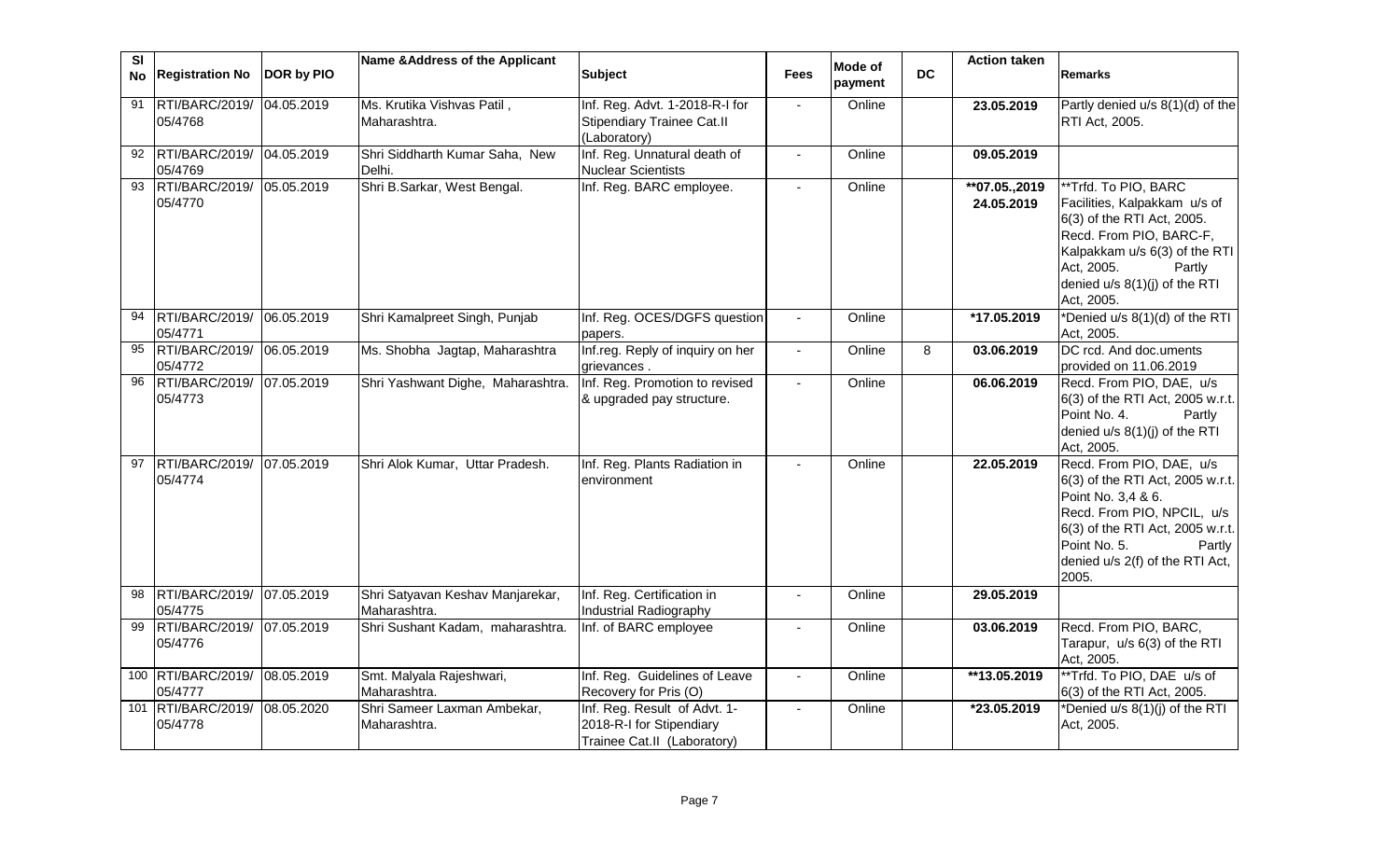| SI | No Registration No                       | DOR by PIO | Name & Address of the Applicant                  | <b>Subject</b>                                                                          | <b>Fees</b>    | <b>Mode of</b><br>payment | <b>DC</b> | <b>Action taken</b>         | <b>Remarks</b>                                                                                                                                                                                                             |
|----|------------------------------------------|------------|--------------------------------------------------|-----------------------------------------------------------------------------------------|----------------|---------------------------|-----------|-----------------------------|----------------------------------------------------------------------------------------------------------------------------------------------------------------------------------------------------------------------------|
| 91 | RTI/BARC/2019/ 04.05.2019<br>05/4768     |            | Ms. Krutika Vishvas Patil,<br>Maharashtra.       | Inf. Reg. Advt. 1-2018-R-I for<br><b>Stipendiary Trainee Cat.II</b><br>(Laboratory)     | $\blacksquare$ | Online                    |           | 23.05.2019                  | Partly denied u/s 8(1)(d) of the<br>RTI Act, 2005.                                                                                                                                                                         |
| 92 | RTI/BARC/2019/ 04.05.2019<br>05/4769     |            | Shri Siddharth Kumar Saha, New<br>Delhi.         | Inf. Reg. Unnatural death of<br><b>Nuclear Scientists</b>                               |                | Online                    |           | 09.05.2019                  |                                                                                                                                                                                                                            |
| 93 | RTI/BARC/2019/<br>05/4770                | 05.05.2019 | Shri B.Sarkar, West Bengal.                      | Inf. Reg. BARC employee.                                                                | $\blacksquare$ | Online                    |           | **07.05.,2019<br>24.05.2019 | **Trfd. To PIO, BARC<br>Facilities, Kalpakkam u/s of<br>6(3) of the RTI Act, 2005.<br>Recd. From PIO, BARC-F,<br>Kalpakkam u/s 6(3) of the RTI<br>Act, 2005.<br>Partly<br>denied u/s 8(1)(j) of the RTI<br>Act, 2005.      |
|    | RTI/BARC/2019/<br>05/4771                | 06.05.2019 | Shri Kamalpreet Singh, Punjab                    | Inf. Reg. OCES/DGFS question<br>papers.                                                 |                | Online                    |           | *17.05.2019                 | *Denied u/s 8(1)(d) of the RTI<br>Act, 2005.                                                                                                                                                                               |
| 95 | RTI/BARC/2019/ 06.05.2019<br>05/4772     |            | Ms. Shobha Jagtap, Maharashtra                   | Inf.reg. Reply of inquiry on her<br>grievances.                                         |                | Online                    | 8         | 03.06.2019                  | DC rcd. And doc.uments<br>provided on 11.06.2019                                                                                                                                                                           |
| 96 | RTI/BARC/2019/<br>05/4773                | 07.05.2019 | Shri Yashwant Dighe, Maharashtra.                | Inf. Reg. Promotion to revised<br>& upgraded pay structure.                             |                | Online                    |           | 06.06.2019                  | Recd. From PIO, DAE, u/s<br>6(3) of the RTI Act, 2005 w.r.t.<br>Point No. 4.<br>Partly<br>denied u/s 8(1)(j) of the RTI<br>Act, 2005.                                                                                      |
| 97 | RTI/BARC/2019/ 07.05.2019<br>05/4774     |            | Shri Alok Kumar, Uttar Pradesh.                  | Inf. Reg. Plants Radiation in<br>environment                                            |                | Online                    |           | 22.05.2019                  | Recd. From PIO, DAE, u/s<br>6(3) of the RTI Act, 2005 w.r.t.<br>Point No. 3,4 & 6.<br>Recd. From PIO, NPCIL, u/s<br>6(3) of the RTI Act, 2005 w.r.t.<br>Point No. 5.<br>Partly<br>denied u/s 2(f) of the RTI Act,<br>2005. |
| 98 | RTI/BARC/2019/ 07.05.2019<br>05/4775     |            | Shri Satyavan Keshav Manjarekar,<br>Maharashtra. | Inf. Reg. Certification in<br>Industrial Radiography                                    |                | Online                    |           | 29.05.2019                  |                                                                                                                                                                                                                            |
| 99 | RTI/BARC/2019/ 07.05.2019<br>05/4776     |            | Shri Sushant Kadam, maharashtra.                 | Inf. of BARC employee                                                                   | $\overline{a}$ | Online                    |           | 03.06.2019                  | Recd. From PIO, BARC,<br>Tarapur, u/s 6(3) of the RTI<br>Act, 2005.                                                                                                                                                        |
|    | 100 RTI/BARC/2019/ 08.05.2019<br>05/4777 |            | Smt. Malyala Rajeshwari,<br>Maharashtra.         | Inf. Reg. Guidelines of Leave<br>Recovery for Pris (O)                                  | $\blacksquare$ | Online                    |           | **13.05.2019                | **Trfd. To PIO, DAE u/s of<br>6(3) of the RTI Act, 2005.                                                                                                                                                                   |
|    | 101 RTI/BARC/2019/<br>05/4778            | 08.05.2020 | Shri Sameer Laxman Ambekar,<br>Maharashtra.      | Inf. Reg. Result of Advt. 1-<br>2018-R-I for Stipendiary<br>Trainee Cat.II (Laboratory) |                | Online                    |           | *23.05.2019                 | *Denied u/s 8(1)(j) of the RTI<br>Act, 2005.                                                                                                                                                                               |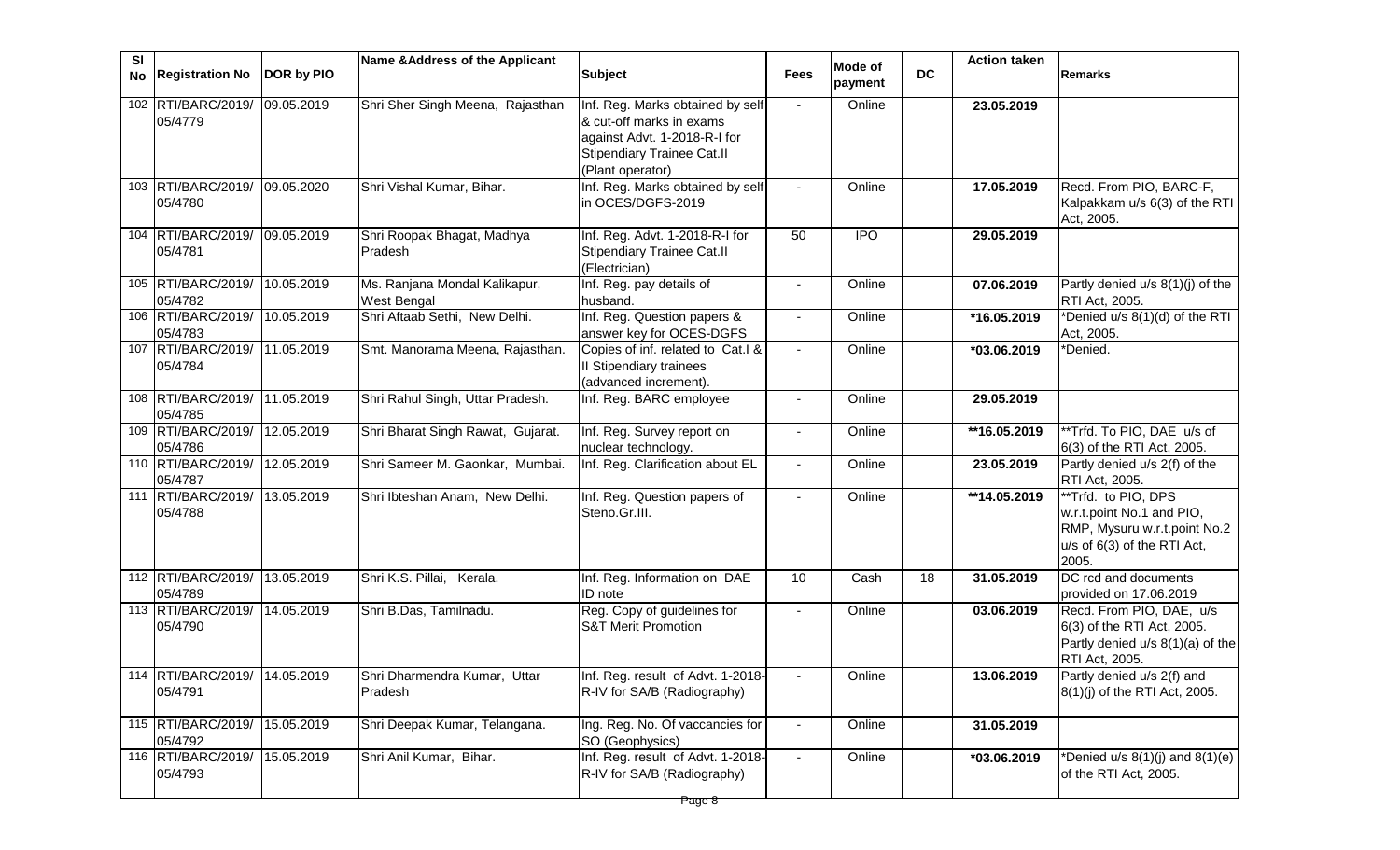| SI                            |            | Name & Address of the Applicant       |                                                   |                | Mode of    |           | <b>Action taken</b> |                                                          |
|-------------------------------|------------|---------------------------------------|---------------------------------------------------|----------------|------------|-----------|---------------------|----------------------------------------------------------|
| <b>Registration No</b><br>No  | DOR by PIO |                                       | <b>Subject</b>                                    | <b>Fees</b>    | payment    | <b>DC</b> |                     | <b>Remarks</b>                                           |
| 102 RTI/BARC/2019/            | 09.05.2019 | Shri Sher Singh Meena, Rajasthan      | Inf. Reg. Marks obtained by self                  | $\sim$         | Online     |           | 23.05.2019          |                                                          |
| 05/4779                       |            |                                       | & cut-off marks in exams                          |                |            |           |                     |                                                          |
|                               |            |                                       | against Advt. 1-2018-R-I for                      |                |            |           |                     |                                                          |
|                               |            |                                       | <b>Stipendiary Trainee Cat.II</b>                 |                |            |           |                     |                                                          |
|                               |            |                                       | (Plant operator)                                  |                |            |           |                     |                                                          |
| 103 RTI/BARC/2019/            | 09.05.2020 | Shri Vishal Kumar, Bihar.             | Inf. Reg. Marks obtained by self                  | $\blacksquare$ | Online     |           | 17.05.2019          | Recd. From PIO, BARC-F,                                  |
| 05/4780                       |            |                                       | in OCES/DGFS-2019                                 |                |            |           |                     | Kalpakkam u/s 6(3) of the RTI                            |
| 104 RTI/BARC/2019/ 09.05.2019 |            |                                       | Inf. Reg. Advt. 1-2018-R-I for                    | 50             | <b>IPO</b> |           | 29.05.2019          | Act, 2005.                                               |
| 05/4781                       |            | Shri Roopak Bhagat, Madhya<br>Pradesh | <b>Stipendiary Trainee Cat.II</b>                 |                |            |           |                     |                                                          |
|                               |            |                                       | (Electrician)                                     |                |            |           |                     |                                                          |
| 105 RTI/BARC/2019/            | 10.05.2019 | Ms. Ranjana Mondal Kalikapur,         | Inf. Reg. pay details of                          |                | Online     |           | 07.06.2019          | Partly denied u/s 8(1)(j) of the                         |
| 05/4782                       |            | <b>West Bengal</b>                    | husband.                                          |                |            |           |                     | RTI Act, 2005.                                           |
| 106 RTI/BARC/2019/            | 10.05.2019 | Shri Aftaab Sethi, New Delhi.         | Inf. Reg. Question papers &                       |                | Online     |           | *16.05.2019         | *Denied u/s 8(1)(d) of the RTI                           |
| 05/4783                       |            |                                       | answer key for OCES-DGFS                          |                |            |           |                     | Act, 2005.                                               |
| 107 RTI/BARC/2019/ 11.05.2019 |            | Smt. Manorama Meena, Rajasthan.       | Copies of inf. related to Cat.I &                 |                | Online     |           | *03.06.2019         | *Denied.                                                 |
| 05/4784                       |            |                                       | II Stipendiary trainees                           |                |            |           |                     |                                                          |
|                               |            |                                       | (advanced increment).                             |                |            |           |                     |                                                          |
| 108 RTI/BARC/2019/ 11.05.2019 |            | Shri Rahul Singh, Uttar Pradesh.      | Inf. Reg. BARC employee                           |                | Online     |           | 29.05.2019          |                                                          |
| 05/4785<br>109 RTI/BARC/2019/ | 12.05.2019 |                                       |                                                   |                |            |           |                     |                                                          |
| 05/4786                       |            | Shri Bharat Singh Rawat, Gujarat.     | Inf. Reg. Survey report on<br>nuclear technology. | $\blacksquare$ | Online     |           | **16.05.2019        | **Trfd. To PIO, DAE u/s of<br>6(3) of the RTI Act, 2005. |
| 110 RTI/BARC/2019/            | 12.05.2019 | Shri Sameer M. Gaonkar, Mumbai.       | Inf. Reg. Clarification about EL                  | $\blacksquare$ | Online     |           | 23.05.2019          | Partly denied u/s 2(f) of the                            |
| 05/4787                       |            |                                       |                                                   |                |            |           |                     | RTI Act, 2005.                                           |
| 111 RTI/BARC/2019/            | 13.05.2019 | Shri Ibteshan Anam, New Delhi.        | Inf. Reg. Question papers of                      | $\blacksquare$ | Online     |           | **14.05.2019        | **Trfd. to PIO, DPS                                      |
| 05/4788                       |            |                                       | Steno.Gr.III.                                     |                |            |           |                     | w.r.t.point No.1 and PIO,                                |
|                               |            |                                       |                                                   |                |            |           |                     | RMP, Mysuru w.r.t.point No.2                             |
|                               |            |                                       |                                                   |                |            |           |                     | u/s of 6(3) of the RTI Act,<br>2005.                     |
| 112 RTI/BARC/2019/            | 13.05.2019 | Shri K.S. Pillai, Kerala.             | Inf. Reg. Information on DAE                      | 10             | Cash       | 18        | 31.05.2019          | DC rcd and documents                                     |
| 05/4789                       |            |                                       | ID note                                           |                |            |           |                     | provided on 17.06.2019                                   |
| 113 RTI/BARC/2019/            | 14.05.2019 | Shri B.Das, Tamilnadu.                | Reg. Copy of guidelines for                       |                | Online     |           | 03.06.2019          | Recd. From PIO, DAE, u/s                                 |
| 05/4790                       |            |                                       | <b>S&amp;T Merit Promotion</b>                    |                |            |           |                     | 6(3) of the RTI Act, 2005.                               |
|                               |            |                                       |                                                   |                |            |           |                     | Partly denied u/s 8(1)(a) of the                         |
|                               |            |                                       |                                                   |                |            |           |                     | RTI Act, 2005.                                           |
| 114 RTI/BARC/2019/ 14.05.2019 |            | Shri Dharmendra Kumar, Uttar          | Inf. Reg. result of Advt. 1-2018-                 |                | Online     |           | 13.06.2019          | Partly denied u/s 2(f) and                               |
| 05/4791                       |            | Pradesh                               | R-IV for SA/B (Radiography)                       |                |            |           |                     | 8(1)(j) of the RTI Act, 2005.                            |
| 115 RTI/BARC/2019/            | 15.05.2019 | Shri Deepak Kumar, Telangana.         | Ing. Reg. No. Of vaccancies for                   |                | Online     |           | 31.05.2019          |                                                          |
| 05/4792                       |            |                                       | SO (Geophysics)                                   |                |            |           |                     |                                                          |
| 116 RTI/BARC/2019/ 15.05.2019 |            | Shri Anil Kumar, Bihar.               | Inf. Reg. result of Advt. 1-2018-                 |                | Online     |           | *03.06.2019         | *Denied u/s $8(1)(j)$ and $8(1)(e)$                      |
| 05/4793                       |            |                                       | R-IV for SA/B (Radiography)                       |                |            |           |                     | of the RTI Act, 2005.                                    |
|                               |            |                                       |                                                   |                |            |           |                     |                                                          |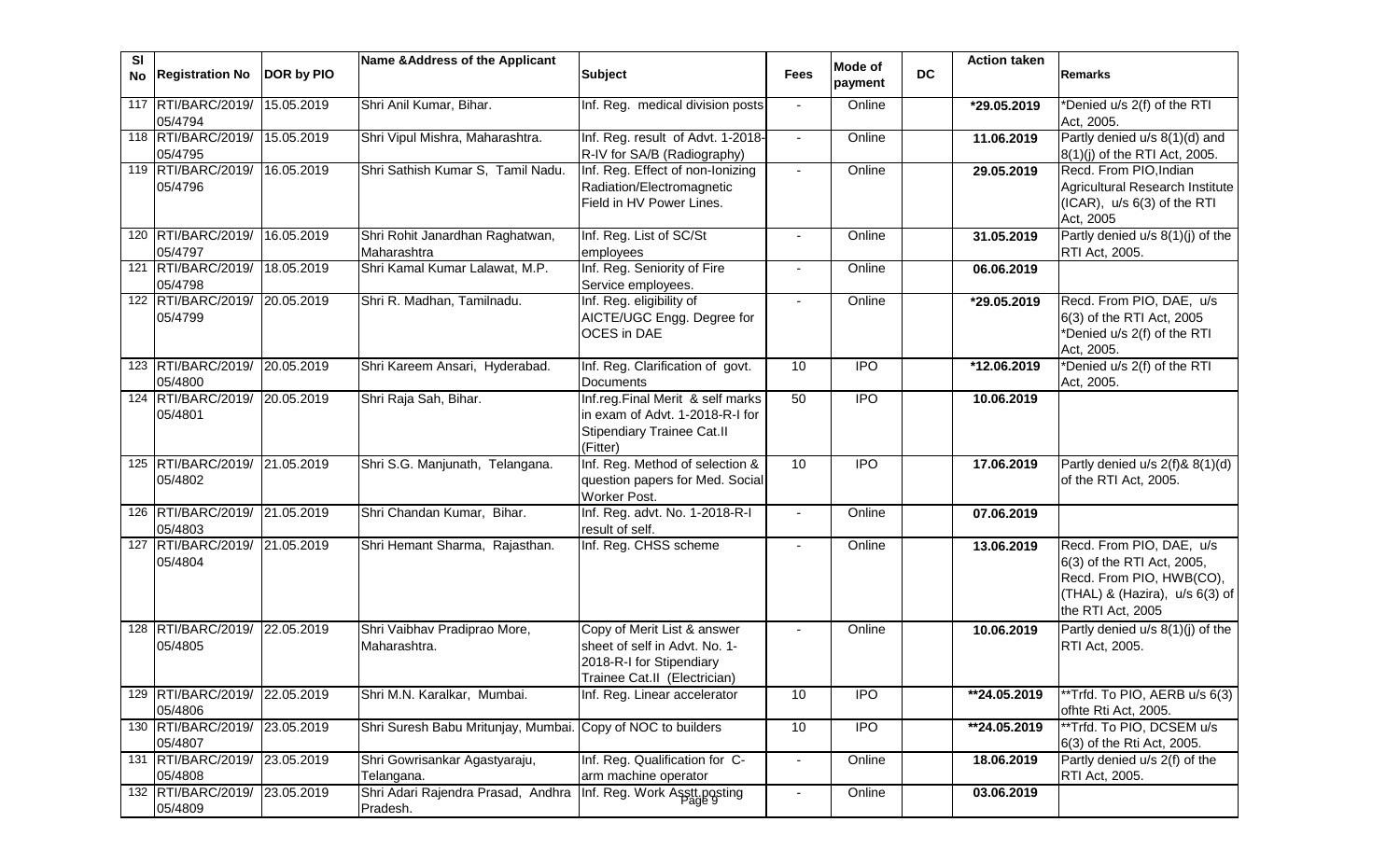| SI | No Registration No                       | DOR by PIO | Name & Address of the Applicant                | <b>Subject</b>                                                                                                           | <b>Fees</b>              | Mode of<br>payment | <b>DC</b> | <b>Action taken</b> | <b>Remarks</b>                                                                                                                                   |
|----|------------------------------------------|------------|------------------------------------------------|--------------------------------------------------------------------------------------------------------------------------|--------------------------|--------------------|-----------|---------------------|--------------------------------------------------------------------------------------------------------------------------------------------------|
|    | 117 RTI/BARC/2019/                       | 15.05.2019 | Shri Anil Kumar, Bihar.                        | Inf. Reg. medical division posts                                                                                         | $\blacksquare$           | Online             |           | *29.05.2019         | *Denied u/s 2(f) of the RTI                                                                                                                      |
|    | 05/4794<br>118 RTI/BARC/2019/            | 15.05.2019 | Shri Vipul Mishra, Maharashtra.                | Inf. Reg. result of Advt. 1-2018-                                                                                        | $\blacksquare$           | Online             |           | 11.06.2019          | Act, 2005.<br>Partly denied u/s 8(1)(d) and                                                                                                      |
|    | 05/4795<br>119 RTI/BARC/2019/<br>05/4796 | 16.05.2019 | Shri Sathish Kumar S, Tamil Nadu.              | R-IV for SA/B (Radiography)<br>Inf. Reg. Effect of non-Ionizing<br>Radiation/Electromagnetic<br>Field in HV Power Lines. | $\sim$                   | Online             |           | 29.05.2019          | 8(1)(j) of the RTI Act, 2005.<br>Recd. From PIO, Indian<br>Agricultural Research Institute<br>$(ICAR)$ , $u/s$ 6(3) of the RTI<br>Act, 2005      |
|    | 120 RTI/BARC/2019/<br>05/4797            | 16.05.2019 | Shri Rohit Janardhan Raghatwan,<br>Maharashtra | Inf. Reg. List of SC/St<br>employees                                                                                     | $\overline{\phantom{a}}$ | Online             |           | 31.05.2019          | Partly denied u/s 8(1)(j) of the<br>RTI Act, 2005.                                                                                               |
|    | 121 RTI/BARC/2019/<br>05/4798            | 18.05.2019 | Shri Kamal Kumar Lalawat, M.P.                 | Inf. Reg. Seniority of Fire<br>Service employees.                                                                        |                          | Online             |           | 06.06.2019          |                                                                                                                                                  |
|    | 122 RTI/BARC/2019/<br>05/4799            | 20.05.2019 | Shri R. Madhan, Tamilnadu.                     | Inf. Reg. eligibility of<br>AICTE/UGC Engg. Degree for<br>OCES in DAE                                                    | $\blacksquare$           | Online             |           | *29.05.2019         | Recd. From PIO, DAE, u/s<br>6(3) of the RTI Act, 2005<br>*Denied u/s 2(f) of the RTI<br>Act, 2005.                                               |
|    | 123 RTI/BARC/2019/ 20.05.2019<br>05/4800 |            | Shri Kareem Ansari, Hyderabad.                 | Inf. Reg. Clarification of govt.<br>Documents                                                                            | 10                       | <b>IPO</b>         |           | *12.06.2019         | *Denied u/s 2(f) of the RTI<br>Act, 2005.                                                                                                        |
|    | 124 RTI/BARC/2019/ 20.05.2019<br>05/4801 |            | Shri Raja Sah, Bihar.                          | Inf.reg.Final Merit & self marks<br>in exam of Advt. 1-2018-R-I for<br><b>Stipendiary Trainee Cat.II</b><br>(Fitter)     | 50                       | $\overline{1}$     |           | 10.06.2019          |                                                                                                                                                  |
|    | 125 RTI/BARC/2019/ 21.05.2019<br>05/4802 |            | Shri S.G. Manjunath, Telangana.                | Inf. Reg. Method of selection &<br>question papers for Med. Social<br>Worker Post.                                       | 10                       | <b>IPO</b>         |           | 17.06.2019          | Partly denied u/s 2(f)& 8(1)(d)<br>of the RTI Act, 2005.                                                                                         |
|    | 126 RTI/BARC/2019/ 21.05.2019<br>05/4803 |            | Shri Chandan Kumar, Bihar.                     | Inf. Reg. advt. No. 1-2018-R-I<br>result of self.                                                                        | $\blacksquare$           | Online             |           | 07.06.2019          |                                                                                                                                                  |
|    | 127 RTI/BARC/2019/ 21.05.2019<br>05/4804 |            | Shri Hemant Sharma, Rajasthan.                 | Inf. Reg. CHSS scheme                                                                                                    | $\blacksquare$           | Online             |           | 13.06.2019          | Recd. From PIO, DAE, u/s<br>6(3) of the RTI Act, 2005,<br>Recd. From PIO, HWB(CO),<br>$(THAL)$ & $(Hazira)$ , $u/s$ 6(3) of<br>the RTI Act, 2005 |
|    | 128 RTI/BARC/2019/<br>05/4805            | 22.05.2019 | Shri Vaibhav Pradiprao More,<br>Maharashtra.   | Copy of Merit List & answer<br>sheet of self in Advt. No. 1-<br>2018-R-I for Stipendiary<br>Trainee Cat.II (Electrician) |                          | Online             |           | 10.06.2019          | Partly denied u/s 8(1)(j) of the<br>RTI Act, 2005.                                                                                               |
|    | 129 RTI/BARC/2019/<br>05/4806            | 22.05.2019 | Shri M.N. Karalkar, Mumbai.                    | Inf. Reg. Linear accelerator                                                                                             | 10                       | <b>IPO</b>         |           | **24.05.2019        | **Trfd. To PIO, AERB u/s 6(3)<br>ofhte Rti Act, 2005.                                                                                            |
|    | 130 RTI/BARC/2019/<br>05/4807            | 23.05.2019 | Shri Suresh Babu Mritunjay, Mumbai.            | Copy of NOC to builders                                                                                                  | 10                       | <b>IPO</b>         |           | **24.05.2019        | **Trfd. To PIO, DCSEM u/s<br>6(3) of the Rti Act, 2005.                                                                                          |
|    | 131 RTI/BARC/2019/<br>05/4808            | 23.05.2019 | Shri Gowrisankar Agastyaraju,<br>Telangana.    | Inf. Reg. Qualification for C-<br>arm machine operator                                                                   |                          | Online             |           | 18.06.2019          | Partly denied u/s 2(f) of the<br>RTI Act, 2005.                                                                                                  |
|    | 132 RTI/BARC/2019/<br>05/4809            | 23.05.2019 | Shri Adari Rajendra Prasad, Andhra<br>Pradesh. | Inf. Reg. Work Asstt.posting                                                                                             |                          | Online             |           | 03.06.2019          |                                                                                                                                                  |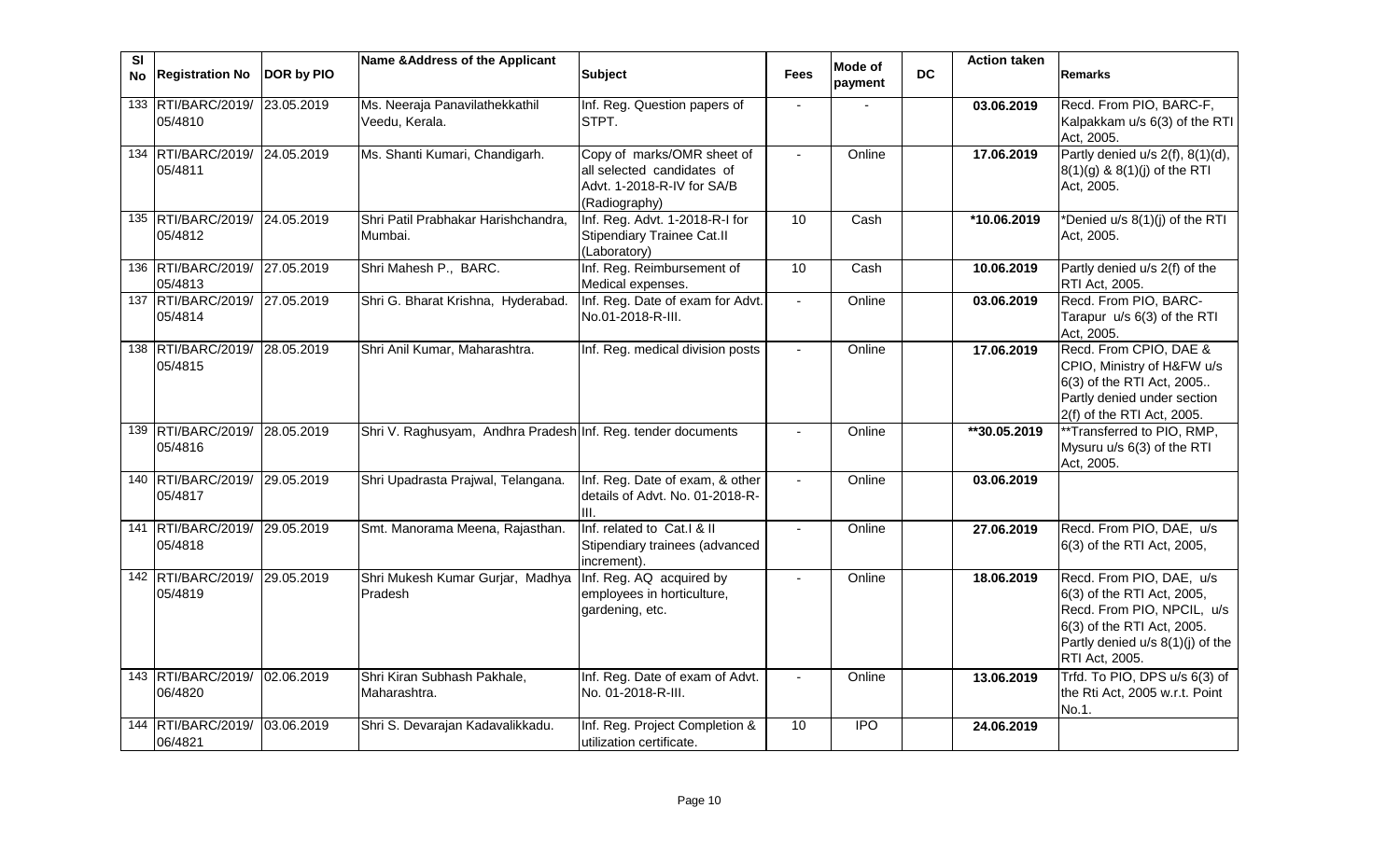| $\overline{\mathbf{s}}$<br>No | <b>Registration No</b>                   | DOR by PIO | Name & Address of the Applicant                              | <b>Subject</b>                                                                                          | <b>Fees</b>                 | Mode of<br>payment | DC. | <b>Action taken</b> | <b>Remarks</b>                                                                                                                                                           |
|-------------------------------|------------------------------------------|------------|--------------------------------------------------------------|---------------------------------------------------------------------------------------------------------|-----------------------------|--------------------|-----|---------------------|--------------------------------------------------------------------------------------------------------------------------------------------------------------------------|
|                               | 133 RTI/BARC/2019/ 23.05.2019<br>05/4810 |            | Ms. Neeraja Panavilathekkathil<br>Veedu, Kerala.             | Inf. Reg. Question papers of<br>STPT.                                                                   |                             |                    |     | 03.06.2019          | Recd. From PIO, BARC-F,<br>Kalpakkam u/s 6(3) of the RTI<br>Act, 2005.                                                                                                   |
|                               | 134 RTI/BARC/2019/ 24.05.2019<br>05/4811 |            | Ms. Shanti Kumari, Chandigarh.                               | Copy of marks/OMR sheet of<br>all selected candidates of<br>Advt. 1-2018-R-IV for SA/B<br>(Radiography) |                             | Online             |     | 17.06.2019          | Partly denied u/s 2(f), 8(1)(d),<br>8(1)(g) & 8(1)(j) of the RTI<br>Act, 2005.                                                                                           |
|                               | 135 RTI/BARC/2019/ 24.05.2019<br>05/4812 |            | Shri Patil Prabhakar Harishchandra,<br>Mumbai.               | Inf. Reg. Advt. 1-2018-R-I for<br><b>Stipendiary Trainee Cat.II</b><br>(Laboratory)                     | 10                          | Cash               |     | *10.06.2019         | *Denied u/s 8(1)(j) of the RTI<br>Act, 2005.                                                                                                                             |
|                               | 136 RTI/BARC/2019/ 27.05.2019<br>05/4813 |            | Shri Mahesh P., BARC.                                        | Inf. Reg. Reimbursement of<br>Medical expenses.                                                         | 10                          | Cash               |     | 10.06.2019          | Partly denied u/s 2(f) of the<br>RTI Act, 2005.                                                                                                                          |
|                               | 137 RTI/BARC/2019/ 27.05.2019<br>05/4814 |            | Shri G. Bharat Krishna, Hyderabad.                           | Inf. Reg. Date of exam for Advt.<br>No.01-2018-R-III.                                                   | $\mathcal{L}^{\mathcal{A}}$ | Online             |     | 03.06.2019          | Recd. From PIO, BARC-<br>Tarapur u/s 6(3) of the RTI<br>Act, 2005.                                                                                                       |
|                               | 138 RTI/BARC/2019/ 28.05.2019<br>05/4815 |            | Shri Anil Kumar, Maharashtra.                                | Inf. Reg. medical division posts                                                                        |                             | Online             |     | 17.06.2019          | Recd. From CPIO, DAE &<br>CPIO, Ministry of H&FW u/s<br>6(3) of the RTI Act, 2005<br>Partly denied under section<br>2(f) of the RTI Act, 2005.                           |
|                               | 139 RTI/BARC/2019/ 28.05.2019<br>05/4816 |            | Shri V. Raghusyam, Andhra Pradesh Inf. Reg. tender documents |                                                                                                         | $\blacksquare$              | Online             |     | **30.05.2019        | **Transferred to PIO, RMP,<br>Mysuru u/s 6(3) of the RTI<br>Act, 2005.                                                                                                   |
|                               | 140 RTI/BARC/2019/ 29.05.2019<br>05/4817 |            | Shri Upadrasta Prajwal, Telangana.                           | Inf. Reg. Date of exam, & other<br>details of Advt. No. 01-2018-R-<br>III.                              |                             | Online             |     | 03.06.2019          |                                                                                                                                                                          |
|                               | 141 RTI/BARC/2019/ 29.05.2019<br>05/4818 |            | Smt. Manorama Meena, Rajasthan.                              | Inf. related to Cat.I & II<br>Stipendiary trainees (advanced<br>increment).                             |                             | Online             |     | 27.06.2019          | Recd. From PIO, DAE, u/s<br>6(3) of the RTI Act, 2005,                                                                                                                   |
|                               | 142 RTI/BARC/2019/ 29.05.2019<br>05/4819 |            | Shri Mukesh Kumar Gurjar, Madhya<br>Pradesh                  | Inf. Reg. AQ acquired by<br>employees in horticulture,<br>gardening, etc.                               |                             | Online             |     | 18.06.2019          | Recd. From PIO, DAE, u/s<br>6(3) of the RTI Act, 2005,<br>Recd. From PIO, NPCIL, u/s<br>6(3) of the RTI Act, 2005.<br>Partly denied u/s 8(1)(j) of the<br>RTI Act, 2005. |
|                               | 143 RTI/BARC/2019/ 02.06.2019<br>06/4820 |            | Shri Kiran Subhash Pakhale,<br>Maharashtra.                  | Inf. Reg. Date of exam of Advt.<br>No. 01-2018-R-III.                                                   |                             | Online             |     | 13.06.2019          | Trfd. To PIO, DPS u/s 6(3) of<br>the Rti Act, 2005 w.r.t. Point<br>No.1.                                                                                                 |
| 144                           | RTI/BARC/2019/<br>06/4821                | 03.06.2019 | Shri S. Devarajan Kadavalikkadu.                             | Inf. Reg. Project Completion &<br>utilization certificate.                                              | 10                          | $\overline{1}$     |     | 24.06.2019          |                                                                                                                                                                          |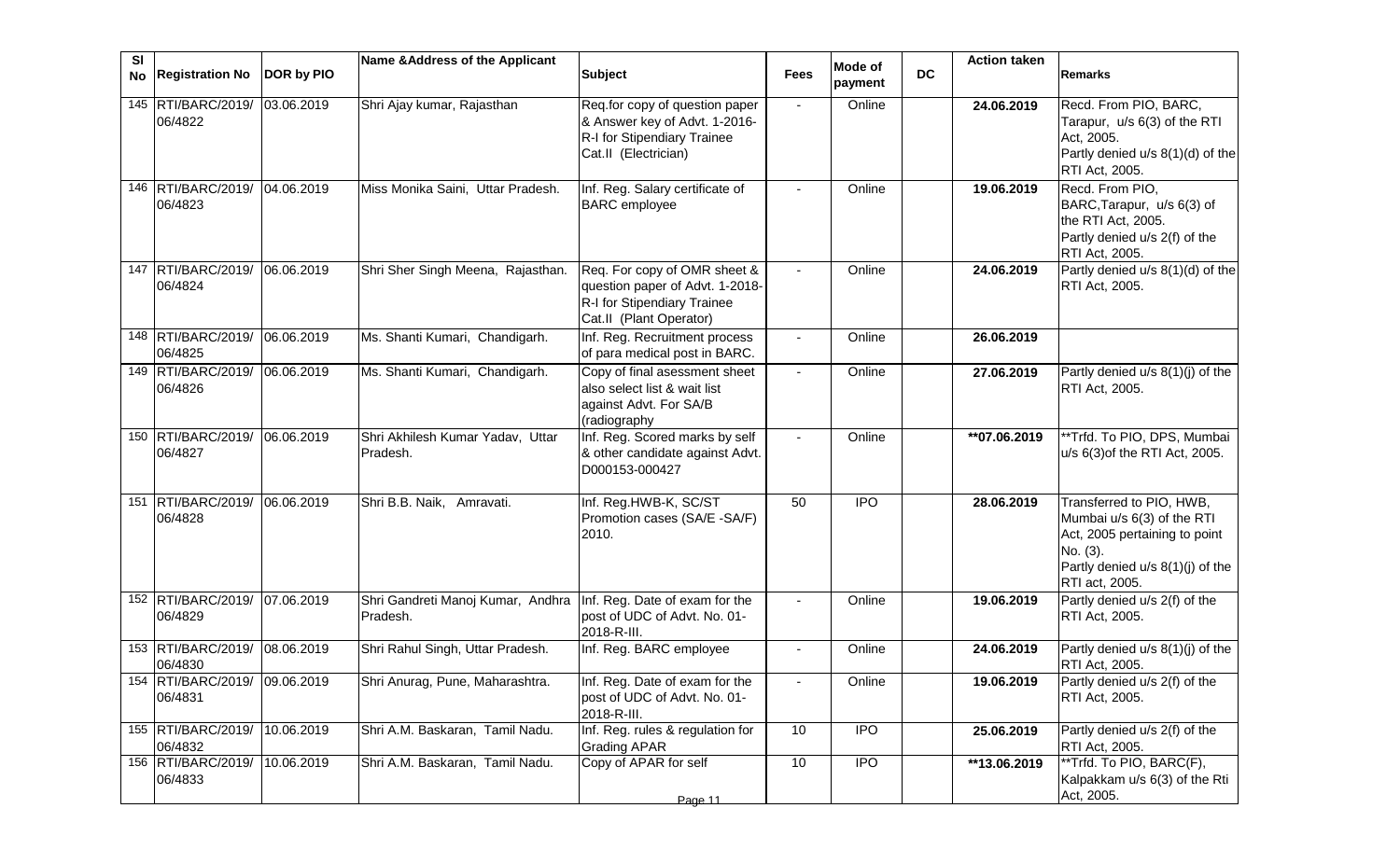| SI | No Registration No                       | DOR by PIO | Name & Address of the Applicant                                                | <b>Subject</b>                                                                                                            | <b>Fees</b>    | <b>Mode of</b><br>payment | <b>DC</b> | <b>Action taken</b> | <b>Remarks</b>                                                                                                                                            |
|----|------------------------------------------|------------|--------------------------------------------------------------------------------|---------------------------------------------------------------------------------------------------------------------------|----------------|---------------------------|-----------|---------------------|-----------------------------------------------------------------------------------------------------------------------------------------------------------|
|    | 145 RTI/BARC/2019/<br>06/4822            | 03.06.2019 | Shri Ajay kumar, Rajasthan                                                     | Req.for copy of question paper<br>& Answer key of Advt. 1-2016-<br>R-I for Stipendiary Trainee<br>Cat.II (Electrician)    | $\blacksquare$ | Online                    |           | 24.06.2019          | Recd. From PIO, BARC,<br>Tarapur, u/s 6(3) of the RTI<br>Act, 2005.<br>Partly denied u/s 8(1)(d) of the<br>RTI Act, 2005.                                 |
|    | 146 RTI/BARC/2019/<br>06/4823            | 04.06.2019 | Miss Monika Saini, Uttar Pradesh.                                              | Inf. Reg. Salary certificate of<br><b>BARC</b> employee                                                                   | $\blacksquare$ | Online                    |           | 19.06.2019          | Recd. From PIO,<br>BARC, Tarapur, u/s 6(3) of<br>the RTI Act, 2005.<br>Partly denied u/s 2(f) of the<br>RTI Act, 2005.                                    |
|    | 147 RTI/BARC/2019/<br>06/4824            | 06.06.2019 | Shri Sher Singh Meena, Rajasthan.                                              | Req. For copy of OMR sheet &<br>question paper of Advt. 1-2018-<br>R-I for Stipendiary Trainee<br>Cat.II (Plant Operator) |                | Online                    |           | 24.06.2019          | Partly denied u/s 8(1)(d) of the<br>RTI Act, 2005.                                                                                                        |
|    | 148 RTI/BARC/2019/<br>06/4825            | 06.06.2019 | Ms. Shanti Kumari, Chandigarh.                                                 | Inf. Reg. Recruitment process<br>of para medical post in BARC.                                                            |                | Online                    |           | 26.06.2019          |                                                                                                                                                           |
|    | 149 RTI/BARC/2019/<br>06/4826            | 06.06.2019 | Ms. Shanti Kumari, Chandigarh.                                                 | Copy of final asessment sheet<br>also select list & wait list<br>against Advt. For SA/B<br>(radiography                   | $\sim$         | Online                    |           | 27.06.2019          | Partly denied u/s 8(1)(j) of the<br>RTI Act, 2005.                                                                                                        |
|    | 150 RTI/BARC/2019/<br>06/4827            | 06.06.2019 | Shri Akhilesh Kumar Yadav, Uttar<br>Pradesh.                                   | Inf. Reg. Scored marks by self<br>& other candidate against Advt.<br>D000153-000427                                       |                | Online                    |           | $*$ 07.06.2019      | **Trfd. To PIO, DPS, Mumbai<br>u/s 6(3) of the RTI Act, 2005.                                                                                             |
|    | 151 RTI/BARC/2019/<br>06/4828            | 06.06.2019 | Shri B.B. Naik, Amravati.                                                      | Inf. Reg.HWB-K, SC/ST<br>Promotion cases (SA/E -SA/F)<br>2010.                                                            | 50             | <b>IPO</b>                |           | 28.06.2019          | Transferred to PIO, HWB,<br>Mumbai u/s 6(3) of the RTI<br>Act, 2005 pertaining to point<br>No. (3).<br>Partly denied u/s 8(1)(j) of the<br>RTI act, 2005. |
|    | 152 RTI/BARC/2019/ 07.06.2019<br>06/4829 |            | Shri Gandreti Manoj Kumar, Andhra   Inf. Reg. Date of exam for the<br>Pradesh. | post of UDC of Advt. No. 01-<br>2018-R-III.                                                                               |                | Online                    |           | 19.06.2019          | Partly denied u/s 2(f) of the<br>RTI Act, 2005.                                                                                                           |
|    | 153 RTI/BARC/2019/<br>06/4830            | 08.06.2019 | Shri Rahul Singh, Uttar Pradesh.                                               | Inf. Reg. BARC employee                                                                                                   |                | Online                    |           | 24.06.2019          | Partly denied u/s 8(1)(j) of the<br>RTI Act, 2005.                                                                                                        |
|    | 154 RTI/BARC/2019/ 09.06.2019<br>06/4831 |            | Shri Anurag, Pune, Maharashtra.                                                | Inf. Reg. Date of exam for the<br>post of UDC of Advt. No. 01-<br>2018-R-III.                                             |                | Online                    |           | 19.06.2019          | Partly denied u/s 2(f) of the<br>RTI Act, 2005.                                                                                                           |
|    | 155 RTI/BARC/2019/<br>06/4832            | 10.06.2019 | Shri A.M. Baskaran, Tamil Nadu.                                                | Inf. Reg. rules & regulation for<br><b>Grading APAR</b>                                                                   | 10             | <b>IPO</b>                |           | 25.06.2019          | Partly denied u/s 2(f) of the<br>RTI Act, 2005.                                                                                                           |
|    | 156 RTI/BARC/2019/<br>06/4833            | 10.06.2019 | Shri A.M. Baskaran, Tamil Nadu.                                                | Copy of APAR for self<br>Page 11                                                                                          | 10             | <b>IPO</b>                |           | **13.06.2019        | **Trfd. To PIO, BARC(F),<br>Kalpakkam u/s 6(3) of the Rti<br>Act, 2005.                                                                                   |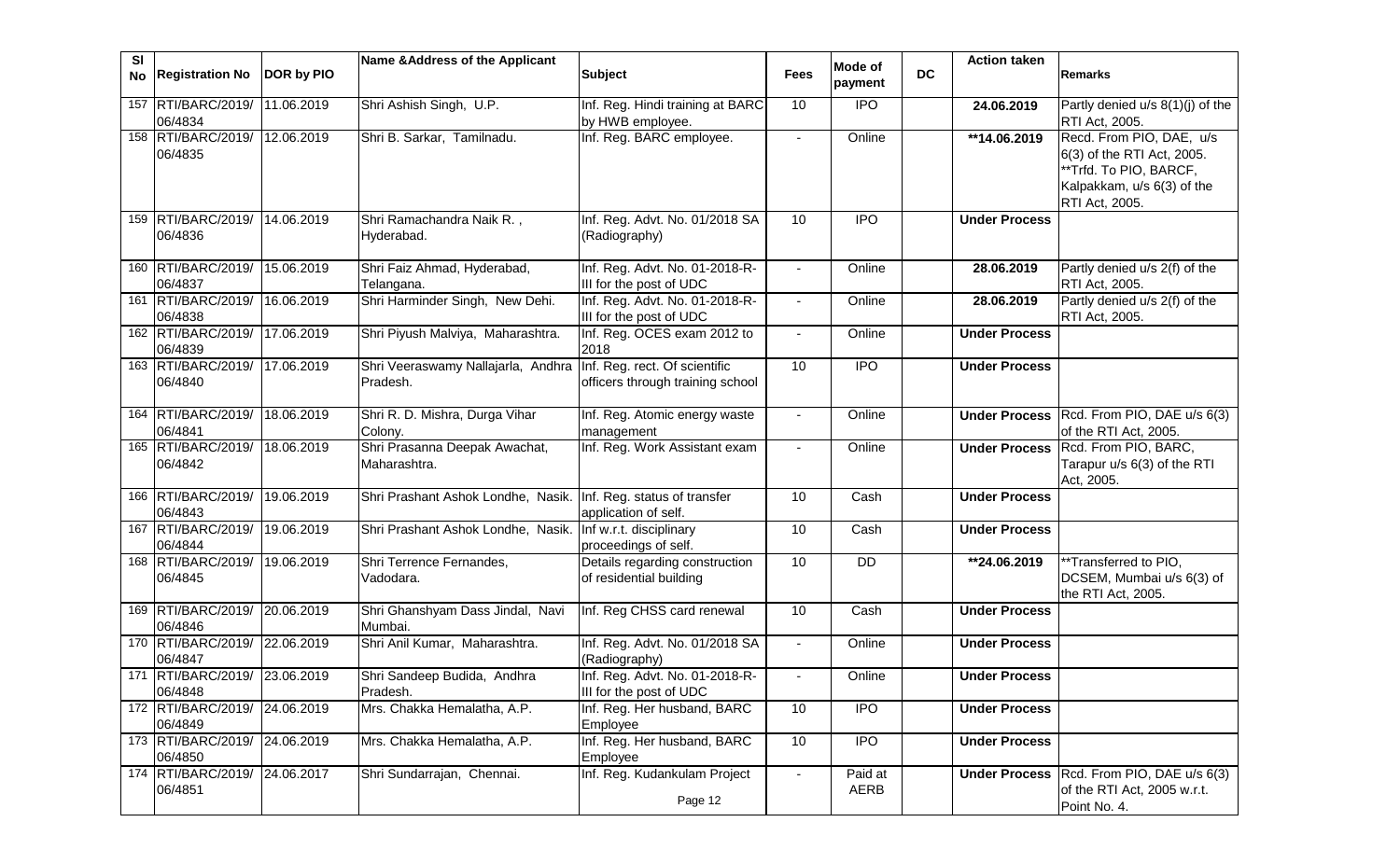| SI<br>No | <b>Registration No</b>                     | DOR by PIO | Name & Address of the Applicant                | <b>Subject</b>                                                    | <b>Fees</b> | Mode of         | <b>DC</b> | <b>Action taken</b>     | Remarks                                                                                                                          |
|----------|--------------------------------------------|------------|------------------------------------------------|-------------------------------------------------------------------|-------------|-----------------|-----------|-------------------------|----------------------------------------------------------------------------------------------------------------------------------|
|          |                                            |            |                                                |                                                                   |             | payment         |           |                         |                                                                                                                                  |
|          | 157 RTI/BARC/2019/<br>06/4834              | 11.06.2019 | Shri Ashish Singh, U.P.                        | Inf. Reg. Hindi training at BARC<br>by HWB employee.              | 10          | <b>IPO</b>      |           | 24.06.2019              | Partly denied u/s 8(1)(j) of the<br>RTI Act, 2005.                                                                               |
|          | 158 RTI/BARC/2019/<br>06/4835              | 12.06.2019 | Shri B. Sarkar, Tamilnadu.                     | Inf. Reg. BARC employee.                                          |             | Online          |           | $\overline{14.06.2019}$ | Recd. From PIO, DAE, u/s<br>6(3) of the RTI Act, 2005.<br>**Trfd. To PIO, BARCF,<br>Kalpakkam, u/s 6(3) of the<br>RTI Act, 2005. |
|          | 159 RTI/BARC/2019/<br>06/4836              | 14.06.2019 | Shri Ramachandra Naik R.,<br>Hyderabad.        | Inf. Reg. Advt. No. 01/2018 SA<br>(Radiography)                   | 10          | <b>IPO</b>      |           | <b>Under Process</b>    |                                                                                                                                  |
|          | 160 RTI/BARC/2019/<br>06/4837              | 15.06.2019 | Shri Faiz Ahmad, Hyderabad,<br>Telangana.      | Inf. Reg. Advt. No. 01-2018-R-<br>III for the post of UDC         |             | Online          |           | 28.06.2019              | Partly denied u/s 2(f) of the<br>RTI Act, 2005.                                                                                  |
|          | 161 RTI/BARC/2019/<br>06/4838              | 16.06.2019 | Shri Harminder Singh, New Dehi.                | Inf. Reg. Advt. No. 01-2018-R-<br>III for the post of UDC         |             | Online          |           | 28.06.2019              | Partly denied u/s 2(f) of the<br>RTI Act, 2005.                                                                                  |
|          | 162 RTI/BARC/2019/<br>06/4839              | 17.06.2019 | Shri Piyush Malviya, Maharashtra.              | Inf. Reg. OCES exam 2012 to<br>2018                               |             | Online          |           | <b>Under Process</b>    |                                                                                                                                  |
|          | 163 RTI/BARC/2019/<br>06/4840              | 17.06.2019 | Shri Veeraswamy Nallajarla, Andhra<br>Pradesh. | Inf. Reg. rect. Of scientific<br>officers through training school | 10          | <b>IPO</b>      |           | <b>Under Process</b>    |                                                                                                                                  |
|          | 164 RTI/BARC/2019/<br>06/4841              | 18.06.2019 | Shri R. D. Mishra, Durga Vihar<br>Colony.      | Inf. Reg. Atomic energy waste<br>management                       |             | Online          |           |                         | Under Process Rcd. From PIO, DAE u/s 6(3)<br>of the RTI Act, 2005.                                                               |
|          | 165 RTI/BARC/2019/<br>06/4842              | 18.06.2019 | Shri Prasanna Deepak Awachat,<br>Maharashtra.  | Inf. Reg. Work Assistant exam                                     |             | Online          |           |                         | Under Process Rcd. From PIO, BARC,<br>Tarapur u/s 6(3) of the RTI<br>Act, 2005.                                                  |
|          | 166 RTI/BARC/2019/<br>06/4843              | 19.06.2019 | Shri Prashant Ashok Londhe, Nasik.             | Inf. Reg. status of transfer<br>application of self.              | 10          | Cash            |           | <b>Under Process</b>    |                                                                                                                                  |
|          | 167 RTI/BARC/2019/<br>06/4844              | 19.06.2019 | Shri Prashant Ashok Londhe, Nasik.             | Inf w.r.t. disciplinary<br>proceedings of self.                   | 10          | Cash            |           | <b>Under Process</b>    |                                                                                                                                  |
|          | 168 RTI/BARC/2019/<br>06/4845              | 19.06.2019 | Shri Terrence Fernandes,<br>Vadodara.          | Details regarding construction<br>of residential building         | 10          | DD              |           | **24.06.2019            | **Transferred to PIO,<br>DCSEM, Mumbai u/s 6(3) of<br>the RTI Act, 2005.                                                         |
|          | 169 RTI/BARC/2019/ 20.06.2019<br>06/4846   |            | Shri Ghanshyam Dass Jindal, Navi<br>Mumbai.    | Inf. Reg CHSS card renewal                                        | 10          | Cash            |           | <b>Under Process</b>    |                                                                                                                                  |
|          | 170 RTI/BARC/2019/ 22.06.2019<br>06/4847   |            | Shri Anil Kumar, Maharashtra.                  | Inf. Reg. Advt. No. 01/2018 SA<br>(Radiography)                   |             | Online          |           | <b>Under Process</b>    |                                                                                                                                  |
|          | 171 RTI/BARC/2019/ 23.06.2019<br>06/4848   |            | Shri Sandeep Budida, Andhra<br>Pradesh.        | Inf. Reg. Advt. No. 01-2018-R-<br>III for the post of UDC         |             | Online          |           | <b>Under Process</b>    |                                                                                                                                  |
|          | 172 RTI/BARC/2019/ 24.06.2019<br>06/4849   |            | Mrs. Chakka Hemalatha, A.P.                    | Inf. Reg. Her husband, BARC<br>Employee                           | 10          | <b>IPO</b>      |           | <b>Under Process</b>    |                                                                                                                                  |
|          | 173 RTI/BARC/2019/ 24.06.2019<br>06/4850   |            | Mrs. Chakka Hemalatha, A.P.                    | Inf. Reg. Her husband, BARC<br>Employee                           | 10          | <b>IPO</b>      |           | <b>Under Process</b>    |                                                                                                                                  |
|          | 174   RTI/BARC/2019/ 24.06.2017<br>06/4851 |            | Shri Sundarrajan, Chennai.                     | Inf. Reg. Kudankulam Project<br>Page 12                           |             | Paid at<br>AERB |           |                         | Under Process   Rcd. From PIO, DAE u/s 6(3)<br>of the RTI Act, 2005 w.r.t.<br>Point No. 4.                                       |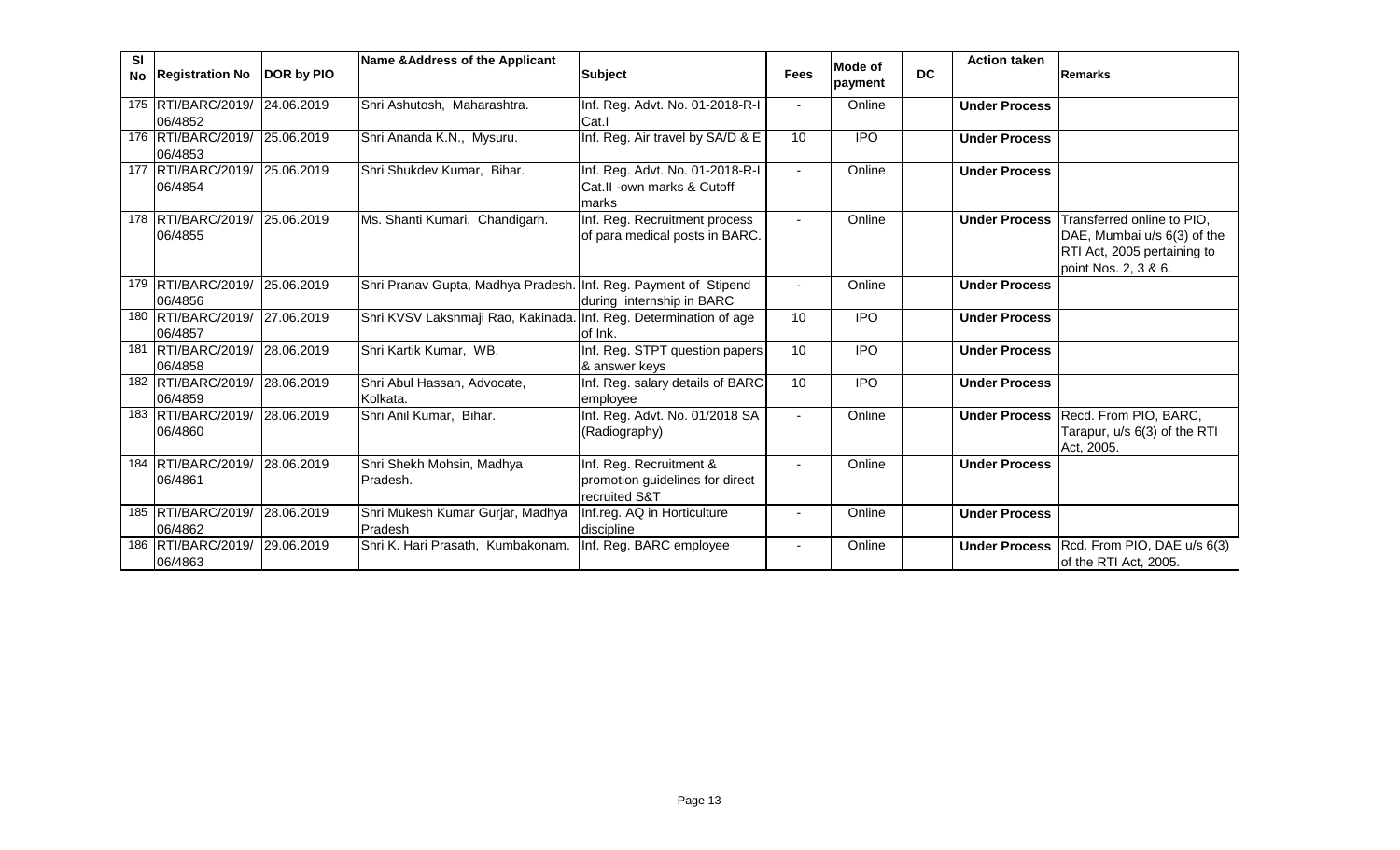| <b>SI</b> | No Registration No                       | <b>DOR by PIO</b> | Name & Address of the Applicant                                   | <b>Subject</b>                                                              | <b>Fees</b>    | Mode of<br>payment | <b>DC</b> | <b>Action taken</b>  | Remarks                                                                                                          |
|-----------|------------------------------------------|-------------------|-------------------------------------------------------------------|-----------------------------------------------------------------------------|----------------|--------------------|-----------|----------------------|------------------------------------------------------------------------------------------------------------------|
|           | 175 RTI/BARC/2019/ 24.06.2019<br>06/4852 |                   | Shri Ashutosh, Maharashtra.                                       | Inf. Reg. Advt. No. 01-2018-R-I<br>Cat.I                                    |                | Online             |           | <b>Under Process</b> |                                                                                                                  |
|           | 176 RTI/BARC/2019/ 25.06.2019<br>06/4853 |                   | Shri Ananda K.N., Mysuru.                                         | Inf. Reg. Air travel by SA/D & E                                            | 10             | <b>IPO</b>         |           | <b>Under Process</b> |                                                                                                                  |
|           | 177 RTI/BARC/2019/ 25.06.2019<br>06/4854 |                   | Shri Shukdev Kumar, Bihar.                                        | Inf. Reg. Advt. No. 01-2018-R-I<br>Cat.II -own marks & Cutoff<br>lmarks     | $\sim$         | Online             |           | <b>Under Process</b> |                                                                                                                  |
|           | 178 RTI/BARC/2019/ 25.06.2019<br>06/4855 |                   | Ms. Shanti Kumari, Chandigarh.                                    | Inf. Reg. Recruitment process<br>of para medical posts in BARC.             | $\blacksquare$ | Online             |           | <b>Under Process</b> | Transferred online to PIO,<br>DAE, Mumbai u/s 6(3) of the<br>RTI Act, 2005 pertaining to<br>point Nos. 2, 3 & 6. |
|           | 179 RTI/BARC/2019/<br>06/4856            | 25.06.2019        | Shri Pranav Gupta, Madhya Pradesh. Inf. Reg. Payment of Stipend   | during internship in BARC                                                   |                | Online             |           | <b>Under Process</b> |                                                                                                                  |
|           | 180 RTI/BARC/2019/ 27.06.2019<br>06/4857 |                   | Shri KVSV Lakshmaji Rao, Kakinada. Inf. Reg. Determination of age | of Ink.                                                                     | 10             | <b>IPO</b>         |           | <b>Under Process</b> |                                                                                                                  |
|           | 181 RTI/BARC/2019/<br>06/4858            | 28.06.2019        | Shri Kartik Kumar, WB.                                            | Inf. Reg. STPT question papers<br>& answer keys                             | 10             | $\overline{1}$     |           | <b>Under Process</b> |                                                                                                                  |
|           | 182 RTI/BARC/2019/<br>06/4859            | 28.06.2019        | Shri Abul Hassan, Advocate,<br>Kolkata.                           | Inf. Reg. salary details of BARC<br>employee                                | 10             | $\overline{1}$     |           | <b>Under Process</b> |                                                                                                                  |
|           | 183 RTI/BARC/2019/<br>06/4860            | 28.06.2019        | Shri Anil Kumar, Bihar.                                           | Inf. Reg. Advt. No. 01/2018 SA<br>(Radiography)                             |                | Online             |           | <b>Under Process</b> | Recd. From PIO, BARC,<br>Tarapur, u/s 6(3) of the RTI<br>Act, 2005.                                              |
|           | 184 RTI/BARC/2019/<br>06/4861            | 28.06.2019        | Shri Shekh Mohsin, Madhya<br>Pradesh.                             | Inf. Reg. Recruitment &<br>promotion guidelines for direct<br>recruited S&T |                | Online             |           | <b>Under Process</b> |                                                                                                                  |
|           | 185 RTI/BARC/2019/<br>06/4862            | 28.06.2019        | Shri Mukesh Kumar Gurjar, Madhya<br>Pradesh                       | Inf.reg. AQ in Horticulture<br>discipline                                   |                | Online             |           | <b>Under Process</b> |                                                                                                                  |
|           | 186 RTI/BARC/2019/ 29.06.2019<br>06/4863 |                   | Shri K. Hari Prasath, Kumbakonam.                                 | Inf. Reg. BARC employee                                                     |                | Online             |           | <b>Under Process</b> | Rcd. From PIO, DAE u/s 6(3)<br>of the RTI Act, 2005.                                                             |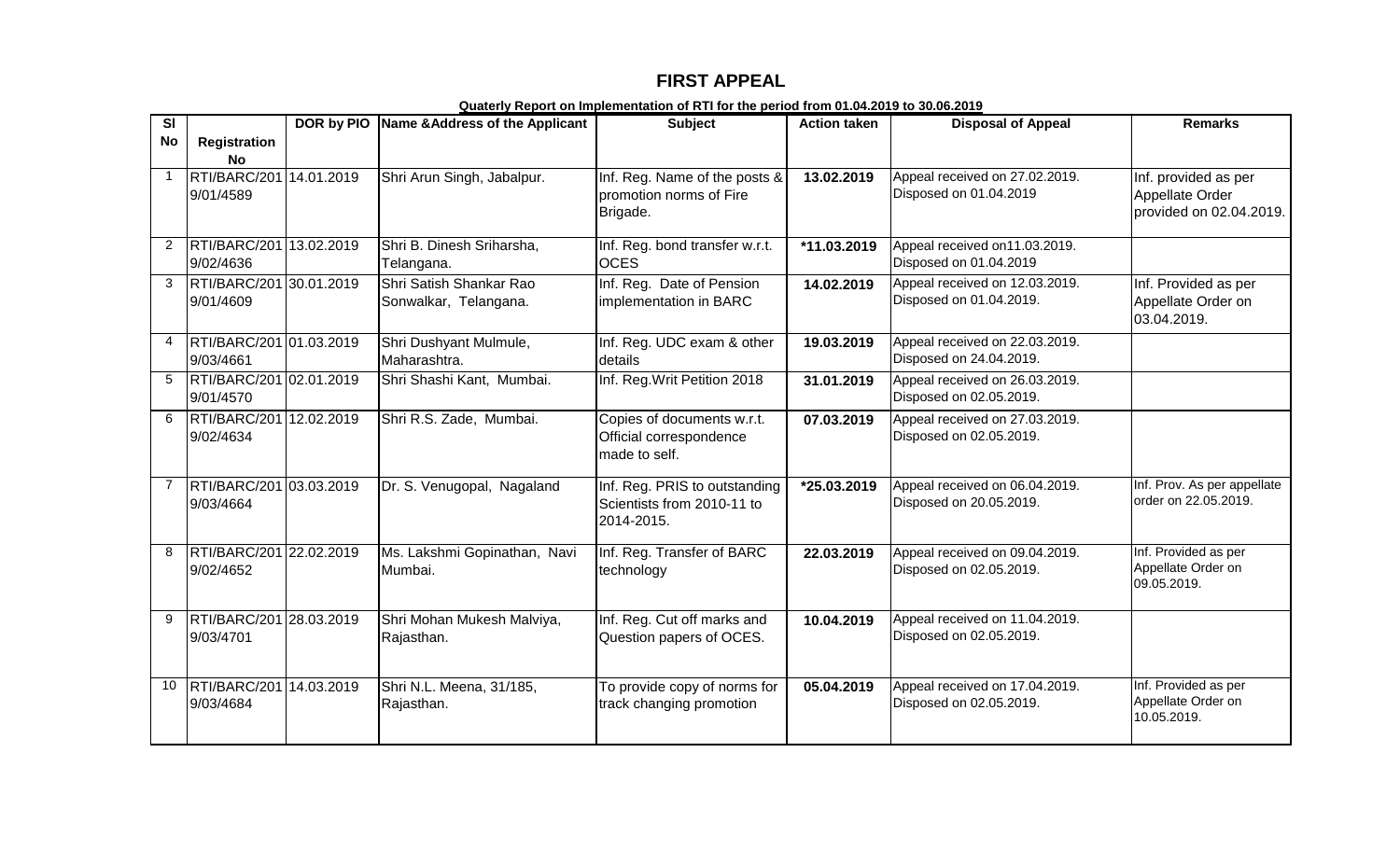## **FIRST APPEAL**

| SI             |                                                   | DOR by PIO | Name & Address of the Applicant                  | <b>Subject</b>                                                            | <b>Action taken</b> | <b>Disposal of Appeal</b>                                 | <b>Remarks</b>                                                     |
|----------------|---------------------------------------------------|------------|--------------------------------------------------|---------------------------------------------------------------------------|---------------------|-----------------------------------------------------------|--------------------------------------------------------------------|
| <b>No</b>      | Registration                                      |            |                                                  |                                                                           |                     |                                                           |                                                                    |
| $\mathbf{1}$   | <b>No</b><br>RTI/BARC/201 14.01.2019<br>9/01/4589 |            | Shri Arun Singh, Jabalpur.                       | Inf. Reg. Name of the posts &<br>promotion norms of Fire<br>Brigade.      | 13.02.2019          | Appeal received on 27.02.2019.<br>Disposed on 01.04.2019  | Inf. provided as per<br>Appellate Order<br>provided on 02.04.2019. |
| $\overline{2}$ | RTI/BARC/201 13.02.2019<br>9/02/4636              |            | Shri B. Dinesh Sriharsha,<br>Telangana.          | Inf. Reg. bond transfer w.r.t.<br><b>OCES</b>                             | *11.03.2019         | Appeal received on11.03.2019.<br>Disposed on 01.04.2019   |                                                                    |
| 3              | RTI/BARC/201 30.01.2019<br>9/01/4609              |            | Shri Satish Shankar Rao<br>Sonwalkar, Telangana. | Inf. Reg. Date of Pension<br>implementation in BARC                       | 14.02.2019          | Appeal received on 12.03.2019.<br>Disposed on 01.04.2019. | Inf. Provided as per<br>Appellate Order on<br>03.04.2019.          |
| 4              | RTI/BARC/201 01.03.2019<br>9/03/4661              |            | Shri Dushyant Mulmule,<br>Maharashtra.           | Inf. Reg. UDC exam & other<br>details                                     | 19.03.2019          | Appeal received on 22.03.2019.<br>Disposed on 24.04.2019. |                                                                    |
| 5              | RTI/BARC/201 02.01.2019<br>9/01/4570              |            | Shri Shashi Kant, Mumbai.                        | Inf. Reg. Writ Petition 2018                                              | 31.01.2019          | Appeal received on 26.03.2019.<br>Disposed on 02.05.2019. |                                                                    |
| 6              | RTI/BARC/201 12.02.2019<br>9/02/4634              |            | Shri R.S. Zade, Mumbai.                          | Copies of documents w.r.t.<br>Official correspondence<br>made to self.    | 07.03.2019          | Appeal received on 27.03.2019.<br>Disposed on 02.05.2019. |                                                                    |
| $\overline{7}$ | RTI/BARC/201 03.03.2019<br>9/03/4664              |            | Dr. S. Venugopal, Nagaland                       | Inf. Reg. PRIS to outstanding<br>Scientists from 2010-11 to<br>2014-2015. | *25.03.2019         | Appeal received on 06.04.2019.<br>Disposed on 20.05.2019. | Inf. Prov. As per appellate<br>order on 22.05.2019.                |
| 8              | RTI/BARC/201 22.02.2019<br>9/02/4652              |            | Ms. Lakshmi Gopinathan, Navi<br>Mumbai.          | Inf. Reg. Transfer of BARC<br>technology                                  | 22.03.2019          | Appeal received on 09.04.2019.<br>Disposed on 02.05.2019. | Inf. Provided as per<br>Appellate Order on<br>09.05.2019.          |
| 9              | RTI/BARC/201 28.03.2019<br>9/03/4701              |            | Shri Mohan Mukesh Malviya,<br>Rajasthan.         | Inf. Reg. Cut off marks and<br>Question papers of OCES.                   | 10.04.2019          | Appeal received on 11.04.2019.<br>Disposed on 02.05.2019. |                                                                    |
| 10             | RTI/BARC/201 14.03.2019<br>9/03/4684              |            | Shri N.L. Meena, 31/185,<br>Rajasthan.           | To provide copy of norms for<br>track changing promotion                  | 05.04.2019          | Appeal received on 17.04.2019.<br>Disposed on 02.05.2019. | Inf. Provided as per<br>Appellate Order on<br>10.05.2019.          |

**Quaterly Report on Implementation of RTI for the period from 01.04.2019 to 30.06.2019**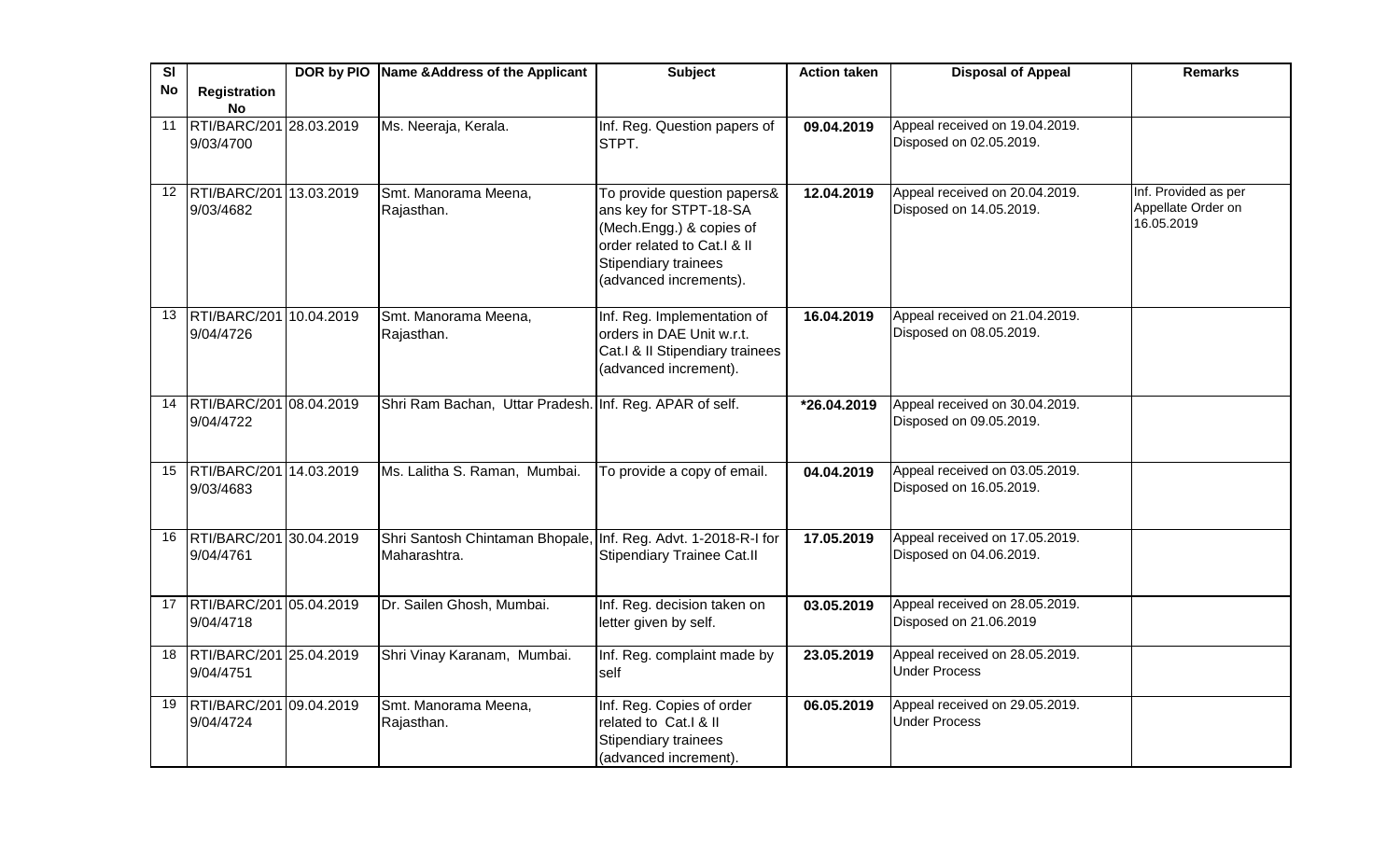| SI              |                                            | DOR by PIO Name & Address of the Applicant                                     | <b>Subject</b>                                                                                                                                                            | <b>Action taken</b> | <b>Disposal of Appeal</b>                                 | <b>Remarks</b>                                           |
|-----------------|--------------------------------------------|--------------------------------------------------------------------------------|---------------------------------------------------------------------------------------------------------------------------------------------------------------------------|---------------------|-----------------------------------------------------------|----------------------------------------------------------|
| <b>No</b>       | Registration                               |                                                                                |                                                                                                                                                                           |                     |                                                           |                                                          |
|                 | <b>No</b>                                  |                                                                                |                                                                                                                                                                           |                     |                                                           |                                                          |
| 11              | RTI/BARC/201 28.03.2019<br>9/03/4700       | Ms. Neeraja, Kerala.                                                           | Inf. Reg. Question papers of<br>STPT.                                                                                                                                     | 09.04.2019          | Appeal received on 19.04.2019.<br>Disposed on 02.05.2019. |                                                          |
| 12 <sup>2</sup> | RTI/BARC/201 13.03.2019<br>9/03/4682       | Smt. Manorama Meena,<br>Rajasthan.                                             | To provide question papers&<br>ans key for STPT-18-SA<br>(Mech.Engg.) & copies of<br>order related to Cat.I & II<br><b>Stipendiary trainees</b><br>(advanced increments). | 12.04.2019          | Appeal received on 20.04.2019.<br>Disposed on 14.05.2019. | Inf. Provided as per<br>Appellate Order on<br>16.05.2019 |
|                 | 13 RTI/BARC/201 10.04.2019<br>9/04/4726    | Smt. Manorama Meena,<br>Rajasthan.                                             | Inf. Reg. Implementation of<br>orders in DAE Unit w.r.t.<br>Cat.I & II Stipendiary trainees<br>(advanced increment).                                                      | 16.04.2019          | Appeal received on 21.04.2019.<br>Disposed on 08.05.2019. |                                                          |
|                 | 14 RTI/BARC/201 08.04.2019<br>9/04/4722    | Shri Ram Bachan, Uttar Pradesh. Inf. Reg. APAR of self.                        |                                                                                                                                                                           | *26.04.2019         | Appeal received on 30.04.2019.<br>Disposed on 09.05.2019. |                                                          |
|                 | 15  RTI/BARC/201   14.03.2019<br>9/03/4683 | Ms. Lalitha S. Raman, Mumbai.                                                  | To provide a copy of email.                                                                                                                                               | 04.04.2019          | Appeal received on 03.05.2019.<br>Disposed on 16.05.2019. |                                                          |
| 16              | RTI/BARC/201 30.04.2019<br>9/04/4761       | Shri Santosh Chintaman Bhopale, Inf. Reg. Advt. 1-2018-R-I for<br>Maharashtra. | Stipendiary Trainee Cat.II                                                                                                                                                | 17.05.2019          | Appeal received on 17.05.2019.<br>Disposed on 04.06.2019. |                                                          |
|                 | 17   RTI/BARC/201 05.04.2019<br>9/04/4718  | Dr. Sailen Ghosh, Mumbai.                                                      | Inf. Reg. decision taken on<br>letter given by self.                                                                                                                      | 03.05.2019          | Appeal received on 28.05.2019.<br>Disposed on 21.06.2019  |                                                          |
| 18              | RTI/BARC/201 25.04.2019<br>9/04/4751       | Shri Vinay Karanam, Mumbai.                                                    | Inf. Reg. complaint made by<br>self                                                                                                                                       | 23.05.2019          | Appeal received on 28.05.2019.<br><b>Under Process</b>    |                                                          |
|                 | 19 RTI/BARC/201 09.04.2019<br>9/04/4724    | Smt. Manorama Meena,<br>Rajasthan.                                             | Inf. Reg. Copies of order<br>related to Cat.I & II<br>Stipendiary trainees<br>(advanced increment).                                                                       | 06.05.2019          | Appeal received on 29.05.2019.<br><b>Under Process</b>    |                                                          |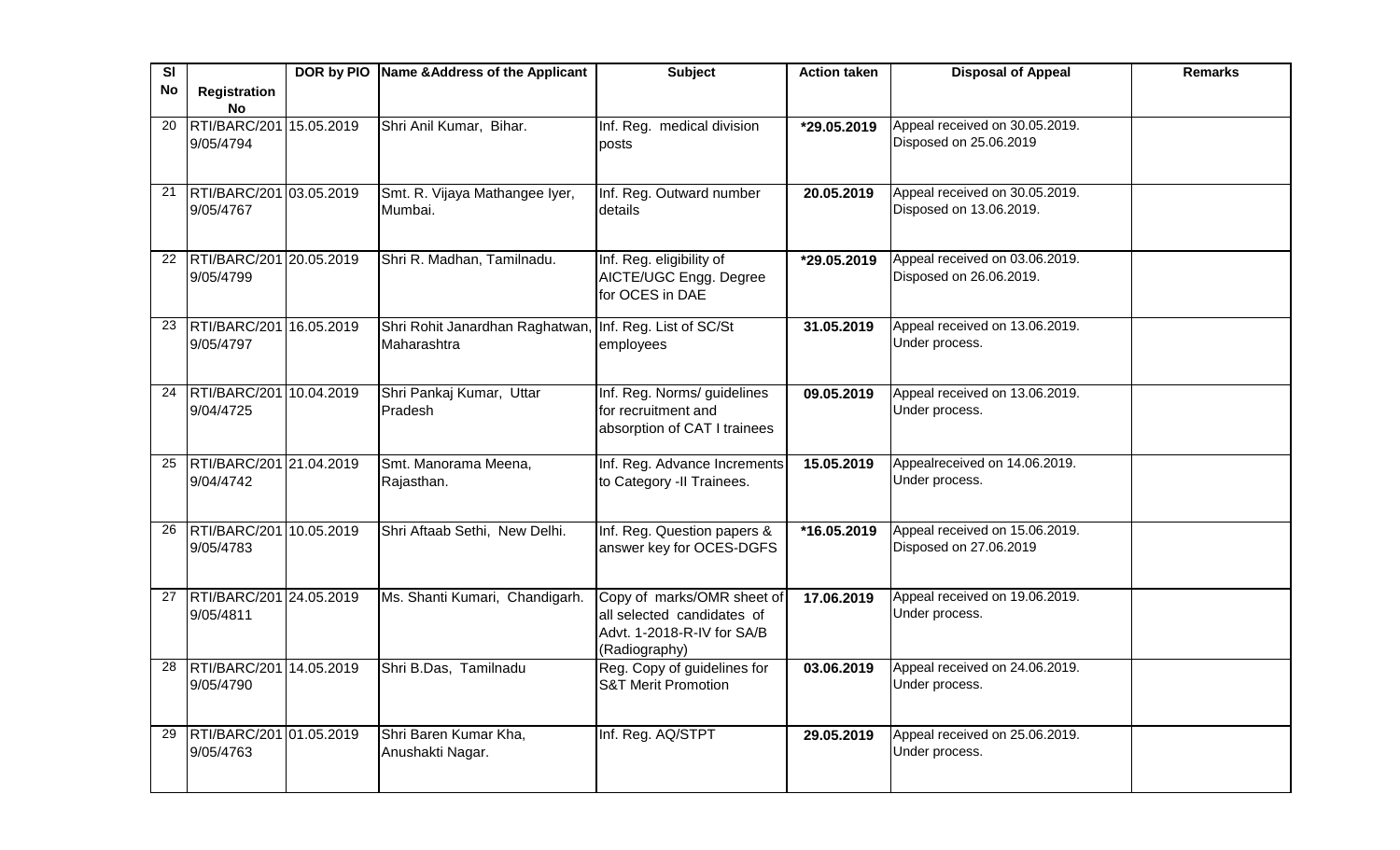| SI        |                                      | DOR by PIO Name & Address of the Applicant                             | <b>Subject</b>                                                                                          | <b>Action taken</b> | <b>Disposal of Appeal</b>                                 | <b>Remarks</b> |
|-----------|--------------------------------------|------------------------------------------------------------------------|---------------------------------------------------------------------------------------------------------|---------------------|-----------------------------------------------------------|----------------|
| <b>No</b> | <b>Registration</b><br>No            |                                                                        |                                                                                                         |                     |                                                           |                |
| 20        | RTI/BARC/201 15.05.2019<br>9/05/4794 | Shri Anil Kumar, Bihar.                                                | Inf. Reg. medical division<br>posts                                                                     | *29.05.2019         | Appeal received on 30.05.2019.<br>Disposed on 25.06.2019  |                |
| 21        | RTI/BARC/201 03.05.2019<br>9/05/4767 | Smt. R. Vijaya Mathangee Iyer,<br>Mumbai.                              | Inf. Reg. Outward number<br>details                                                                     | 20.05.2019          | Appeal received on 30.05.2019.<br>Disposed on 13.06.2019. |                |
| 22        | RTI/BARC/201 20.05.2019<br>9/05/4799 | Shri R. Madhan, Tamilnadu.                                             | Inf. Reg. eligibility of<br>AICTE/UGC Engg. Degree<br>for OCES in DAE                                   | *29.05.2019         | Appeal received on 03.06.2019.<br>Disposed on 26.06.2019. |                |
| 23        | RTI/BARC/201 16.05.2019<br>9/05/4797 | Shri Rohit Janardhan Raghatwan, Inf. Reg. List of SC/St<br>Maharashtra | employees                                                                                               | 31.05.2019          | Appeal received on 13.06.2019.<br>Under process.          |                |
| 24        | RTI/BARC/201 10.04.2019<br>9/04/4725 | Shri Pankaj Kumar, Uttar<br>Pradesh                                    | Inf. Reg. Norms/ guidelines<br>for recruitment and<br>absorption of CAT I trainees                      | 09.05.2019          | Appeal received on 13.06.2019.<br>Under process.          |                |
| 25        | RTI/BARC/201 21.04.2019<br>9/04/4742 | Smt. Manorama Meena,<br>Rajasthan.                                     | Inf. Reg. Advance Increments<br>to Category -II Trainees.                                               | 15.05.2019          | Appealreceived on 14.06.2019.<br>Under process.           |                |
| 26        | RTI/BARC/201 10.05.2019<br>9/05/4783 | Shri Aftaab Sethi, New Delhi.                                          | Inf. Reg. Question papers &<br>answer key for OCES-DGFS                                                 | *16.05.2019         | Appeal received on 15.06.2019.<br>Disposed on 27.06.2019  |                |
| 27        | RTI/BARC/201 24.05.2019<br>9/05/4811 | Ms. Shanti Kumari, Chandigarh.                                         | Copy of marks/OMR sheet of<br>all selected candidates of<br>Advt. 1-2018-R-IV for SA/B<br>(Radiography) | 17.06.2019          | Appeal received on 19.06.2019.<br>Under process.          |                |
| 28        | RTI/BARC/201 14.05.2019<br>9/05/4790 | Shri B.Das, Tamilnadu                                                  | Reg. Copy of guidelines for<br><b>S&amp;T Merit Promotion</b>                                           | 03.06.2019          | Appeal received on 24.06.2019.<br>Under process.          |                |
| 29        | RTI/BARC/201 01.05.2019<br>9/05/4763 | Shri Baren Kumar Kha,<br>Anushakti Nagar.                              | Inf. Reg. AQ/STPT                                                                                       | 29.05.2019          | Appeal received on 25.06.2019.<br>Under process.          |                |